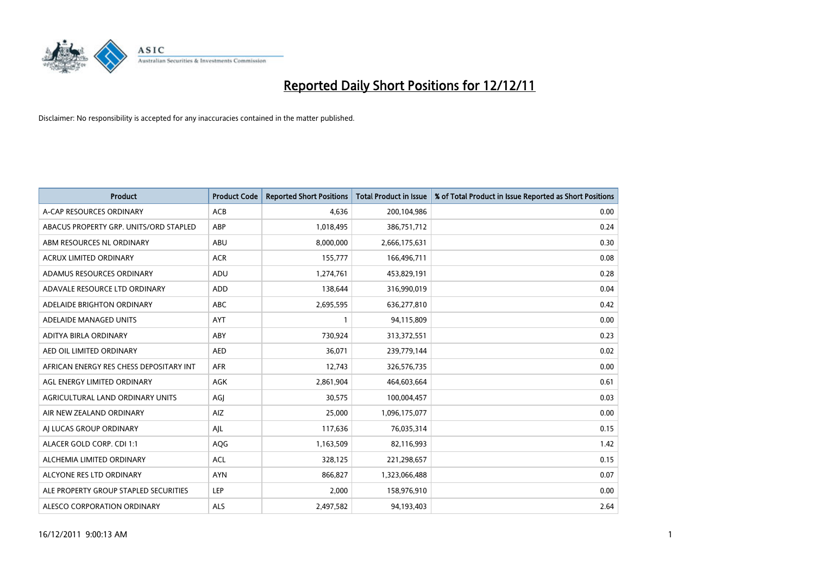

| <b>Product</b>                          | <b>Product Code</b> | <b>Reported Short Positions</b> | <b>Total Product in Issue</b> | % of Total Product in Issue Reported as Short Positions |
|-----------------------------------------|---------------------|---------------------------------|-------------------------------|---------------------------------------------------------|
| A-CAP RESOURCES ORDINARY                | <b>ACB</b>          | 4,636                           | 200,104,986                   | 0.00                                                    |
| ABACUS PROPERTY GRP. UNITS/ORD STAPLED  | ABP                 | 1,018,495                       | 386,751,712                   | 0.24                                                    |
| ABM RESOURCES NL ORDINARY               | ABU                 | 8,000,000                       | 2,666,175,631                 | 0.30                                                    |
| ACRUX LIMITED ORDINARY                  | <b>ACR</b>          | 155,777                         | 166,496,711                   | 0.08                                                    |
| ADAMUS RESOURCES ORDINARY               | ADU                 | 1,274,761                       | 453,829,191                   | 0.28                                                    |
| ADAVALE RESOURCE LTD ORDINARY           | ADD                 | 138,644                         | 316,990,019                   | 0.04                                                    |
| ADELAIDE BRIGHTON ORDINARY              | <b>ABC</b>          | 2,695,595                       | 636,277,810                   | 0.42                                                    |
| ADELAIDE MANAGED UNITS                  | <b>AYT</b>          |                                 | 94,115,809                    | 0.00                                                    |
| ADITYA BIRLA ORDINARY                   | ABY                 | 730,924                         | 313,372,551                   | 0.23                                                    |
| AED OIL LIMITED ORDINARY                | <b>AED</b>          | 36,071                          | 239,779,144                   | 0.02                                                    |
| AFRICAN ENERGY RES CHESS DEPOSITARY INT | <b>AFR</b>          | 12,743                          | 326,576,735                   | 0.00                                                    |
| AGL ENERGY LIMITED ORDINARY             | AGK                 | 2,861,904                       | 464,603,664                   | 0.61                                                    |
| AGRICULTURAL LAND ORDINARY UNITS        | AGJ                 | 30,575                          | 100,004,457                   | 0.03                                                    |
| AIR NEW ZEALAND ORDINARY                | AIZ                 | 25,000                          | 1,096,175,077                 | 0.00                                                    |
| AI LUCAS GROUP ORDINARY                 | AJL                 | 117,636                         | 76,035,314                    | 0.15                                                    |
| ALACER GOLD CORP. CDI 1:1               | AQG                 | 1,163,509                       | 82,116,993                    | 1.42                                                    |
| ALCHEMIA LIMITED ORDINARY               | <b>ACL</b>          | 328,125                         | 221,298,657                   | 0.15                                                    |
| ALCYONE RES LTD ORDINARY                | <b>AYN</b>          | 866,827                         | 1,323,066,488                 | 0.07                                                    |
| ALE PROPERTY GROUP STAPLED SECURITIES   | LEP                 | 2.000                           | 158,976,910                   | 0.00                                                    |
| ALESCO CORPORATION ORDINARY             | <b>ALS</b>          | 2,497,582                       | 94,193,403                    | 2.64                                                    |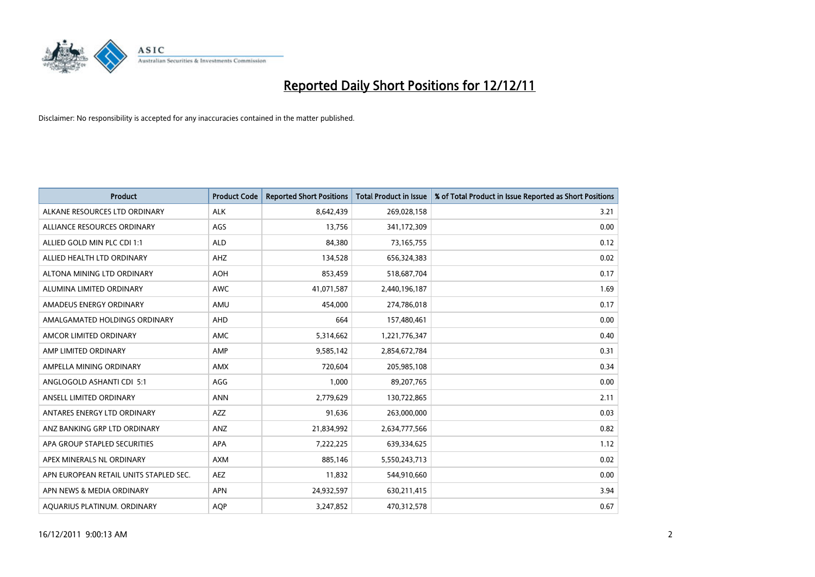

| <b>Product</b>                         | <b>Product Code</b> | <b>Reported Short Positions</b> | <b>Total Product in Issue</b> | % of Total Product in Issue Reported as Short Positions |
|----------------------------------------|---------------------|---------------------------------|-------------------------------|---------------------------------------------------------|
| ALKANE RESOURCES LTD ORDINARY          | <b>ALK</b>          | 8,642,439                       | 269,028,158                   | 3.21                                                    |
| ALLIANCE RESOURCES ORDINARY            | AGS                 | 13,756                          | 341,172,309                   | 0.00                                                    |
| ALLIED GOLD MIN PLC CDI 1:1            | <b>ALD</b>          | 84,380                          | 73,165,755                    | 0.12                                                    |
| ALLIED HEALTH LTD ORDINARY             | AHZ                 | 134,528                         | 656,324,383                   | 0.02                                                    |
| ALTONA MINING LTD ORDINARY             | <b>AOH</b>          | 853,459                         | 518,687,704                   | 0.17                                                    |
| ALUMINA LIMITED ORDINARY               | <b>AWC</b>          | 41,071,587                      | 2,440,196,187                 | 1.69                                                    |
| AMADEUS ENERGY ORDINARY                | AMU                 | 454.000                         | 274,786,018                   | 0.17                                                    |
| AMALGAMATED HOLDINGS ORDINARY          | <b>AHD</b>          | 664                             | 157,480,461                   | 0.00                                                    |
| AMCOR LIMITED ORDINARY                 | <b>AMC</b>          | 5,314,662                       | 1,221,776,347                 | 0.40                                                    |
| AMP LIMITED ORDINARY                   | AMP                 | 9,585,142                       | 2,854,672,784                 | 0.31                                                    |
| AMPELLA MINING ORDINARY                | <b>AMX</b>          | 720,604                         | 205,985,108                   | 0.34                                                    |
| ANGLOGOLD ASHANTI CDI 5:1              | AGG                 | 1,000                           | 89,207,765                    | 0.00                                                    |
| ANSELL LIMITED ORDINARY                | <b>ANN</b>          | 2,779,629                       | 130,722,865                   | 2.11                                                    |
| ANTARES ENERGY LTD ORDINARY            | <b>AZZ</b>          | 91,636                          | 263,000,000                   | 0.03                                                    |
| ANZ BANKING GRP LTD ORDINARY           | ANZ                 | 21,834,992                      | 2,634,777,566                 | 0.82                                                    |
| APA GROUP STAPLED SECURITIES           | APA                 | 7,222,225                       | 639,334,625                   | 1.12                                                    |
| APEX MINERALS NL ORDINARY              | <b>AXM</b>          | 885,146                         | 5,550,243,713                 | 0.02                                                    |
| APN EUROPEAN RETAIL UNITS STAPLED SEC. | <b>AEZ</b>          | 11,832                          | 544,910,660                   | 0.00                                                    |
| APN NEWS & MEDIA ORDINARY              | <b>APN</b>          | 24,932,597                      | 630,211,415                   | 3.94                                                    |
| AQUARIUS PLATINUM. ORDINARY            | <b>AOP</b>          | 3.247.852                       | 470,312,578                   | 0.67                                                    |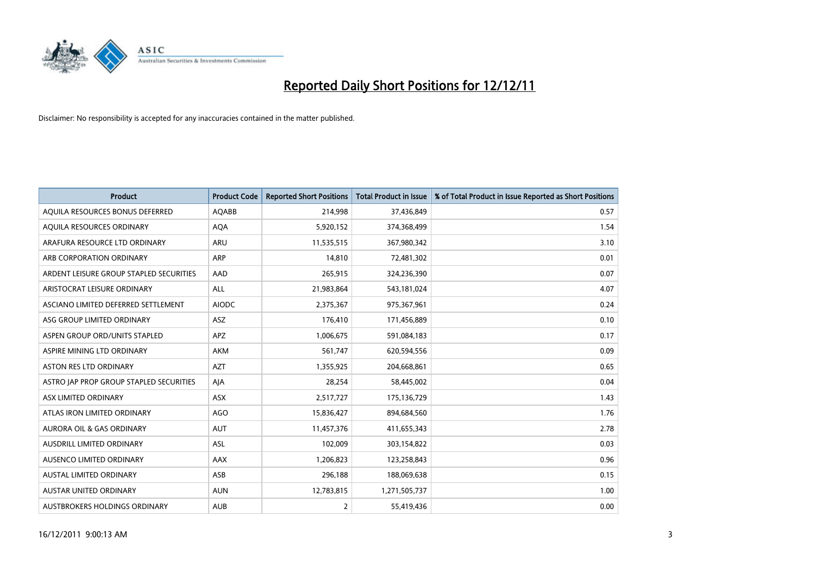

| <b>Product</b>                          | <b>Product Code</b> | <b>Reported Short Positions</b> | <b>Total Product in Issue</b> | % of Total Product in Issue Reported as Short Positions |
|-----------------------------------------|---------------------|---------------------------------|-------------------------------|---------------------------------------------------------|
| AQUILA RESOURCES BONUS DEFERRED         | <b>AQABB</b>        | 214,998                         | 37,436,849                    | 0.57                                                    |
| AQUILA RESOURCES ORDINARY               | <b>AQA</b>          | 5,920,152                       | 374,368,499                   | 1.54                                                    |
| ARAFURA RESOURCE LTD ORDINARY           | <b>ARU</b>          | 11,535,515                      | 367,980,342                   | 3.10                                                    |
| ARB CORPORATION ORDINARY                | <b>ARP</b>          | 14,810                          | 72,481,302                    | 0.01                                                    |
| ARDENT LEISURE GROUP STAPLED SECURITIES | AAD                 | 265,915                         | 324,236,390                   | 0.07                                                    |
| ARISTOCRAT LEISURE ORDINARY             | ALL                 | 21,983,864                      | 543,181,024                   | 4.07                                                    |
| ASCIANO LIMITED DEFERRED SETTLEMENT     | <b>AIODC</b>        | 2,375,367                       | 975,367,961                   | 0.24                                                    |
| ASG GROUP LIMITED ORDINARY              | <b>ASZ</b>          | 176,410                         | 171,456,889                   | 0.10                                                    |
| ASPEN GROUP ORD/UNITS STAPLED           | <b>APZ</b>          | 1,006,675                       | 591,084,183                   | 0.17                                                    |
| ASPIRE MINING LTD ORDINARY              | <b>AKM</b>          | 561,747                         | 620,594,556                   | 0.09                                                    |
| <b>ASTON RES LTD ORDINARY</b>           | <b>AZT</b>          | 1,355,925                       | 204,668,861                   | 0.65                                                    |
| ASTRO JAP PROP GROUP STAPLED SECURITIES | AIA                 | 28,254                          | 58,445,002                    | 0.04                                                    |
| ASX LIMITED ORDINARY                    | ASX                 | 2,517,727                       | 175,136,729                   | 1.43                                                    |
| ATLAS IRON LIMITED ORDINARY             | AGO                 | 15,836,427                      | 894,684,560                   | 1.76                                                    |
| <b>AURORA OIL &amp; GAS ORDINARY</b>    | <b>AUT</b>          | 11,457,376                      | 411,655,343                   | 2.78                                                    |
| AUSDRILL LIMITED ORDINARY               | <b>ASL</b>          | 102,009                         | 303,154,822                   | 0.03                                                    |
| AUSENCO LIMITED ORDINARY                | AAX                 | 1,206,823                       | 123,258,843                   | 0.96                                                    |
| AUSTAL LIMITED ORDINARY                 | ASB                 | 296,188                         | 188,069,638                   | 0.15                                                    |
| <b>AUSTAR UNITED ORDINARY</b>           | <b>AUN</b>          | 12,783,815                      | 1,271,505,737                 | 1.00                                                    |
| AUSTBROKERS HOLDINGS ORDINARY           | <b>AUB</b>          | 2                               | 55,419,436                    | 0.00                                                    |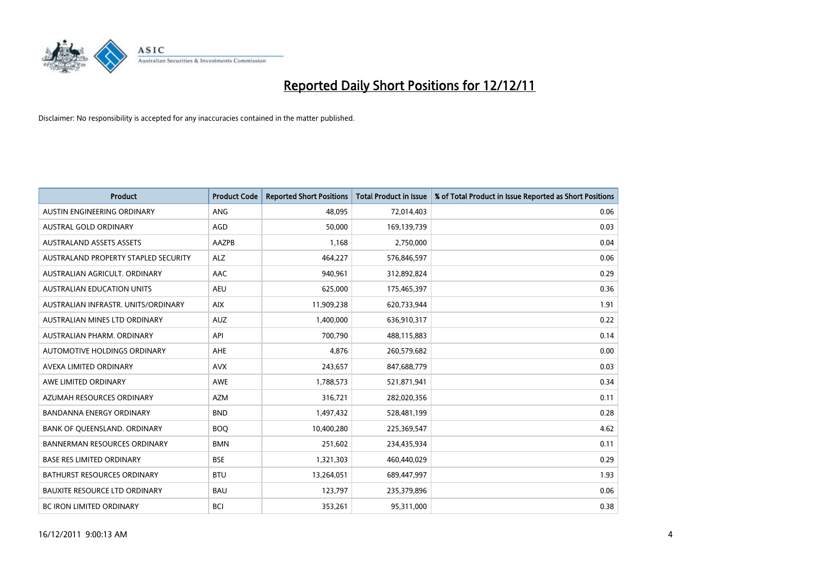

| <b>Product</b>                       | <b>Product Code</b> | <b>Reported Short Positions</b> | <b>Total Product in Issue</b> | % of Total Product in Issue Reported as Short Positions |
|--------------------------------------|---------------------|---------------------------------|-------------------------------|---------------------------------------------------------|
| AUSTIN ENGINEERING ORDINARY          | ANG                 | 48.095                          | 72,014,403                    | 0.06                                                    |
| AUSTRAL GOLD ORDINARY                | AGD                 | 50,000                          | 169,139,739                   | 0.03                                                    |
| <b>AUSTRALAND ASSETS ASSETS</b>      | AAZPB               | 1,168                           | 2,750,000                     | 0.04                                                    |
| AUSTRALAND PROPERTY STAPLED SECURITY | <b>ALZ</b>          | 464,227                         | 576,846,597                   | 0.06                                                    |
| AUSTRALIAN AGRICULT, ORDINARY        | <b>AAC</b>          | 940,961                         | 312,892,824                   | 0.29                                                    |
| <b>AUSTRALIAN EDUCATION UNITS</b>    | <b>AEU</b>          | 625,000                         | 175,465,397                   | 0.36                                                    |
| AUSTRALIAN INFRASTR. UNITS/ORDINARY  | <b>AIX</b>          | 11,909,238                      | 620,733,944                   | 1.91                                                    |
| <b>AUSTRALIAN MINES LTD ORDINARY</b> | <b>AUZ</b>          | 1,400,000                       | 636,910,317                   | 0.22                                                    |
| AUSTRALIAN PHARM, ORDINARY           | API                 | 700.790                         | 488,115,883                   | 0.14                                                    |
| AUTOMOTIVE HOLDINGS ORDINARY         | <b>AHE</b>          | 4,876                           | 260,579,682                   | 0.00                                                    |
| AVEXA LIMITED ORDINARY               | <b>AVX</b>          | 243,657                         | 847,688,779                   | 0.03                                                    |
| AWE LIMITED ORDINARY                 | <b>AWE</b>          | 1,788,573                       | 521,871,941                   | 0.34                                                    |
| AZUMAH RESOURCES ORDINARY            | <b>AZM</b>          | 316,721                         | 282,020,356                   | 0.11                                                    |
| <b>BANDANNA ENERGY ORDINARY</b>      | <b>BND</b>          | 1,497,432                       | 528,481,199                   | 0.28                                                    |
| BANK OF QUEENSLAND. ORDINARY         | <b>BOQ</b>          | 10,400,280                      | 225,369,547                   | 4.62                                                    |
| <b>BANNERMAN RESOURCES ORDINARY</b>  | <b>BMN</b>          | 251,602                         | 234,435,934                   | 0.11                                                    |
| <b>BASE RES LIMITED ORDINARY</b>     | <b>BSE</b>          | 1,321,303                       | 460,440,029                   | 0.29                                                    |
| BATHURST RESOURCES ORDINARY          | <b>BTU</b>          | 13,264,051                      | 689,447,997                   | 1.93                                                    |
| <b>BAUXITE RESOURCE LTD ORDINARY</b> | <b>BAU</b>          | 123,797                         | 235,379,896                   | 0.06                                                    |
| BC IRON LIMITED ORDINARY             | <b>BCI</b>          | 353,261                         | 95,311,000                    | 0.38                                                    |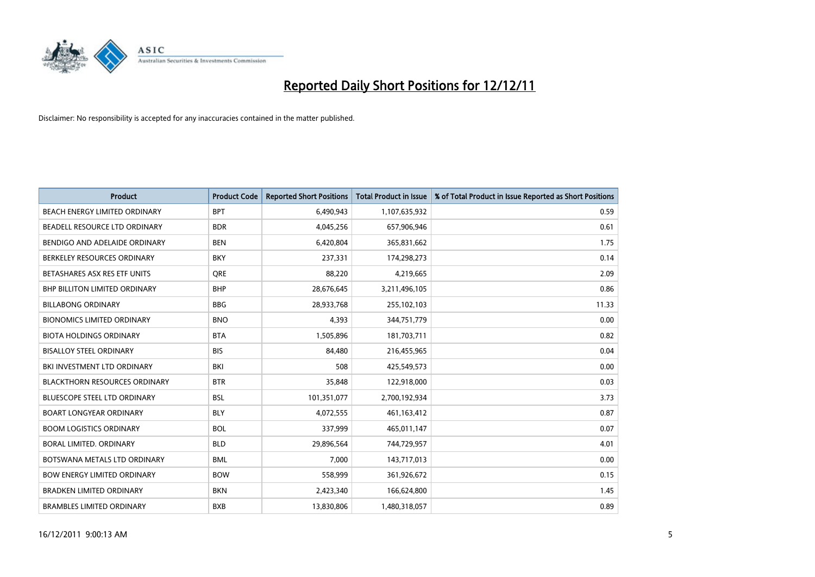

| <b>Product</b>                       | <b>Product Code</b> | <b>Reported Short Positions</b> | <b>Total Product in Issue</b> | % of Total Product in Issue Reported as Short Positions |
|--------------------------------------|---------------------|---------------------------------|-------------------------------|---------------------------------------------------------|
| <b>BEACH ENERGY LIMITED ORDINARY</b> | <b>BPT</b>          | 6,490,943                       | 1,107,635,932                 | 0.59                                                    |
| BEADELL RESOURCE LTD ORDINARY        | <b>BDR</b>          | 4,045,256                       | 657,906,946                   | 0.61                                                    |
| BENDIGO AND ADELAIDE ORDINARY        | <b>BEN</b>          | 6,420,804                       | 365,831,662                   | 1.75                                                    |
| BERKELEY RESOURCES ORDINARY          | <b>BKY</b>          | 237,331                         | 174,298,273                   | 0.14                                                    |
| BETASHARES ASX RES ETF UNITS         | <b>ORE</b>          | 88,220                          | 4,219,665                     | 2.09                                                    |
| <b>BHP BILLITON LIMITED ORDINARY</b> | <b>BHP</b>          | 28,676,645                      | 3,211,496,105                 | 0.86                                                    |
| <b>BILLABONG ORDINARY</b>            | <b>BBG</b>          | 28,933,768                      | 255,102,103                   | 11.33                                                   |
| <b>BIONOMICS LIMITED ORDINARY</b>    | <b>BNO</b>          | 4,393                           | 344,751,779                   | 0.00                                                    |
| <b>BIOTA HOLDINGS ORDINARY</b>       | <b>BTA</b>          | 1,505,896                       | 181,703,711                   | 0.82                                                    |
| <b>BISALLOY STEEL ORDINARY</b>       | <b>BIS</b>          | 84.480                          | 216,455,965                   | 0.04                                                    |
| BKI INVESTMENT LTD ORDINARY          | BKI                 | 508                             | 425,549,573                   | 0.00                                                    |
| <b>BLACKTHORN RESOURCES ORDINARY</b> | <b>BTR</b>          | 35,848                          | 122,918,000                   | 0.03                                                    |
| <b>BLUESCOPE STEEL LTD ORDINARY</b>  | <b>BSL</b>          | 101,351,077                     | 2,700,192,934                 | 3.73                                                    |
| <b>BOART LONGYEAR ORDINARY</b>       | <b>BLY</b>          | 4,072,555                       | 461, 163, 412                 | 0.87                                                    |
| <b>BOOM LOGISTICS ORDINARY</b>       | <b>BOL</b>          | 337,999                         | 465,011,147                   | 0.07                                                    |
| BORAL LIMITED. ORDINARY              | <b>BLD</b>          | 29,896,564                      | 744,729,957                   | 4.01                                                    |
| BOTSWANA METALS LTD ORDINARY         | <b>BML</b>          | 7,000                           | 143,717,013                   | 0.00                                                    |
| <b>BOW ENERGY LIMITED ORDINARY</b>   | <b>BOW</b>          | 558,999                         | 361,926,672                   | 0.15                                                    |
| <b>BRADKEN LIMITED ORDINARY</b>      | <b>BKN</b>          | 2,423,340                       | 166,624,800                   | 1.45                                                    |
| <b>BRAMBLES LIMITED ORDINARY</b>     | <b>BXB</b>          | 13,830,806                      | 1,480,318,057                 | 0.89                                                    |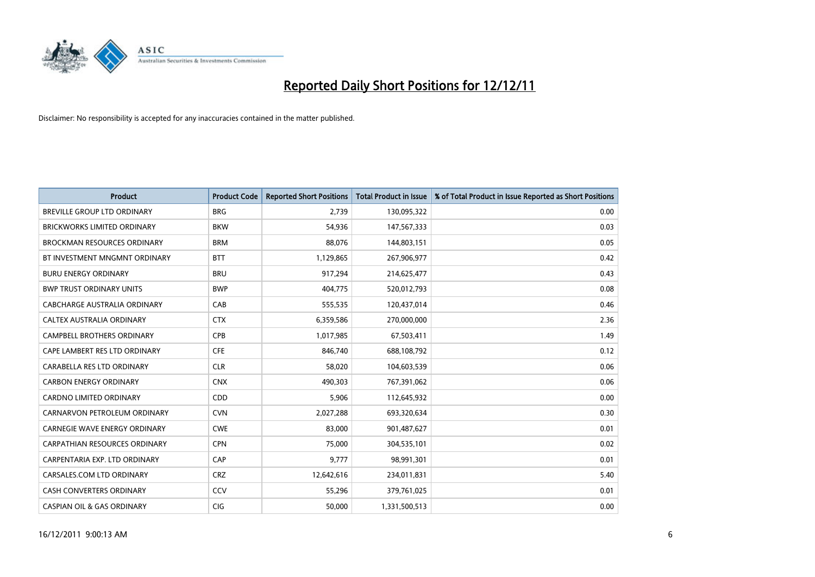

| <b>Product</b>                        | <b>Product Code</b> | <b>Reported Short Positions</b> | <b>Total Product in Issue</b> | % of Total Product in Issue Reported as Short Positions |
|---------------------------------------|---------------------|---------------------------------|-------------------------------|---------------------------------------------------------|
| <b>BREVILLE GROUP LTD ORDINARY</b>    | <b>BRG</b>          | 2,739                           | 130,095,322                   | 0.00                                                    |
| BRICKWORKS LIMITED ORDINARY           | <b>BKW</b>          | 54,936                          | 147,567,333                   | 0.03                                                    |
| <b>BROCKMAN RESOURCES ORDINARY</b>    | <b>BRM</b>          | 88,076                          | 144,803,151                   | 0.05                                                    |
| BT INVESTMENT MNGMNT ORDINARY         | <b>BTT</b>          | 1,129,865                       | 267,906,977                   | 0.42                                                    |
| <b>BURU ENERGY ORDINARY</b>           | <b>BRU</b>          | 917,294                         | 214,625,477                   | 0.43                                                    |
| <b>BWP TRUST ORDINARY UNITS</b>       | <b>BWP</b>          | 404,775                         | 520,012,793                   | 0.08                                                    |
| <b>CABCHARGE AUSTRALIA ORDINARY</b>   | CAB                 | 555,535                         | 120,437,014                   | 0.46                                                    |
| CALTEX AUSTRALIA ORDINARY             | <b>CTX</b>          | 6,359,586                       | 270,000,000                   | 2.36                                                    |
| CAMPBELL BROTHERS ORDINARY            | <b>CPB</b>          | 1,017,985                       | 67,503,411                    | 1.49                                                    |
| CAPE LAMBERT RES LTD ORDINARY         | <b>CFE</b>          | 846,740                         | 688,108,792                   | 0.12                                                    |
| CARABELLA RES LTD ORDINARY            | <b>CLR</b>          | 58,020                          | 104,603,539                   | 0.06                                                    |
| <b>CARBON ENERGY ORDINARY</b>         | <b>CNX</b>          | 490,303                         | 767,391,062                   | 0.06                                                    |
| CARDNO LIMITED ORDINARY               | CDD                 | 5,906                           | 112,645,932                   | 0.00                                                    |
| CARNARVON PETROLEUM ORDINARY          | <b>CVN</b>          | 2,027,288                       | 693,320,634                   | 0.30                                                    |
| <b>CARNEGIE WAVE ENERGY ORDINARY</b>  | <b>CWE</b>          | 83,000                          | 901,487,627                   | 0.01                                                    |
| CARPATHIAN RESOURCES ORDINARY         | <b>CPN</b>          | 75,000                          | 304,535,101                   | 0.02                                                    |
| CARPENTARIA EXP. LTD ORDINARY         | CAP                 | 9,777                           | 98,991,301                    | 0.01                                                    |
| CARSALES.COM LTD ORDINARY             | <b>CRZ</b>          | 12,642,616                      | 234,011,831                   | 5.40                                                    |
| <b>CASH CONVERTERS ORDINARY</b>       | CCV                 | 55,296                          | 379,761,025                   | 0.01                                                    |
| <b>CASPIAN OIL &amp; GAS ORDINARY</b> | <b>CIG</b>          | 50.000                          | 1,331,500,513                 | 0.00                                                    |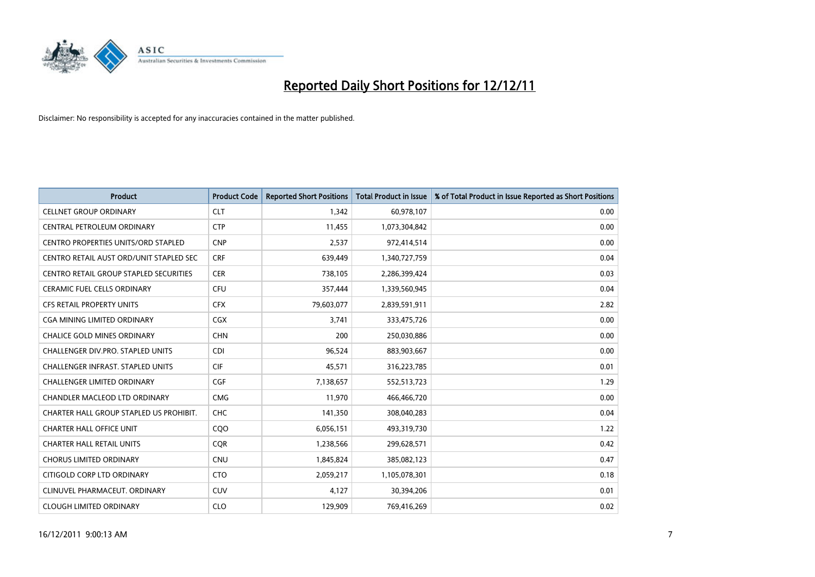

| <b>Product</b>                           | <b>Product Code</b> | <b>Reported Short Positions</b> | <b>Total Product in Issue</b> | % of Total Product in Issue Reported as Short Positions |
|------------------------------------------|---------------------|---------------------------------|-------------------------------|---------------------------------------------------------|
| <b>CELLNET GROUP ORDINARY</b>            | <b>CLT</b>          | 1,342                           | 60,978,107                    | 0.00                                                    |
| CENTRAL PETROLEUM ORDINARY               | <b>CTP</b>          | 11,455                          | 1,073,304,842                 | 0.00                                                    |
| CENTRO PROPERTIES UNITS/ORD STAPLED      | <b>CNP</b>          | 2,537                           | 972,414,514                   | 0.00                                                    |
| CENTRO RETAIL AUST ORD/UNIT STAPLED SEC  | <b>CRF</b>          | 639,449                         | 1,340,727,759                 | 0.04                                                    |
| CENTRO RETAIL GROUP STAPLED SECURITIES   | <b>CER</b>          | 738,105                         | 2,286,399,424                 | 0.03                                                    |
| <b>CERAMIC FUEL CELLS ORDINARY</b>       | <b>CFU</b>          | 357,444                         | 1,339,560,945                 | 0.04                                                    |
| <b>CFS RETAIL PROPERTY UNITS</b>         | <b>CFX</b>          | 79,603,077                      | 2,839,591,911                 | 2.82                                                    |
| CGA MINING LIMITED ORDINARY              | <b>CGX</b>          | 3,741                           | 333,475,726                   | 0.00                                                    |
| <b>CHALICE GOLD MINES ORDINARY</b>       | <b>CHN</b>          | 200                             | 250,030,886                   | 0.00                                                    |
| <b>CHALLENGER DIV.PRO. STAPLED UNITS</b> | <b>CDI</b>          | 96,524                          | 883,903,667                   | 0.00                                                    |
| CHALLENGER INFRAST. STAPLED UNITS        | <b>CIF</b>          | 45,571                          | 316,223,785                   | 0.01                                                    |
| <b>CHALLENGER LIMITED ORDINARY</b>       | <b>CGF</b>          | 7,138,657                       | 552,513,723                   | 1.29                                                    |
| CHANDLER MACLEOD LTD ORDINARY            | <b>CMG</b>          | 11,970                          | 466,466,720                   | 0.00                                                    |
| CHARTER HALL GROUP STAPLED US PROHIBIT.  | <b>CHC</b>          | 141,350                         | 308,040,283                   | 0.04                                                    |
| CHARTER HALL OFFICE UNIT                 | CQO                 | 6,056,151                       | 493,319,730                   | 1.22                                                    |
| <b>CHARTER HALL RETAIL UNITS</b>         | <b>COR</b>          | 1,238,566                       | 299,628,571                   | 0.42                                                    |
| <b>CHORUS LIMITED ORDINARY</b>           | <b>CNU</b>          | 1,845,824                       | 385,082,123                   | 0.47                                                    |
| CITIGOLD CORP LTD ORDINARY               | <b>CTO</b>          | 2,059,217                       | 1,105,078,301                 | 0.18                                                    |
| CLINUVEL PHARMACEUT. ORDINARY            | <b>CUV</b>          | 4,127                           | 30,394,206                    | 0.01                                                    |
| <b>CLOUGH LIMITED ORDINARY</b>           | <b>CLO</b>          | 129,909                         | 769,416,269                   | 0.02                                                    |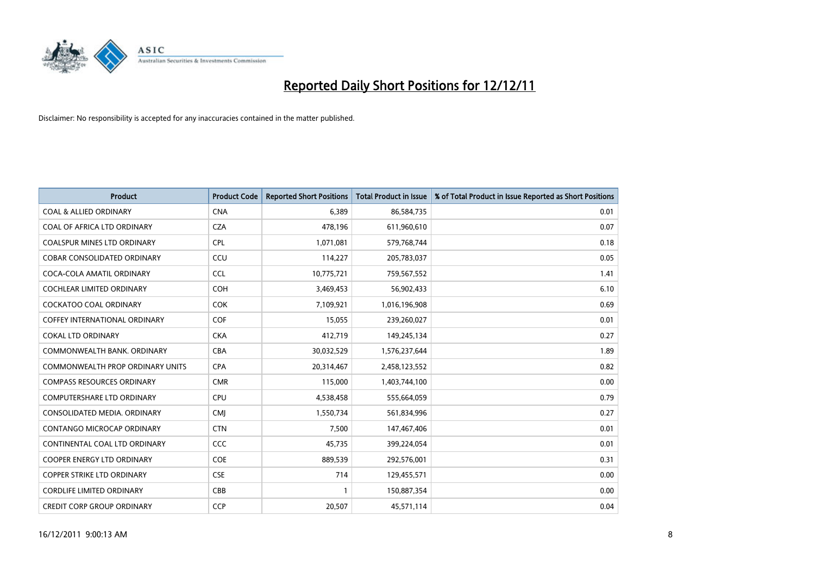

| <b>Product</b>                          | <b>Product Code</b> | <b>Reported Short Positions</b> | <b>Total Product in Issue</b> | % of Total Product in Issue Reported as Short Positions |
|-----------------------------------------|---------------------|---------------------------------|-------------------------------|---------------------------------------------------------|
| <b>COAL &amp; ALLIED ORDINARY</b>       | <b>CNA</b>          | 6,389                           | 86,584,735                    | 0.01                                                    |
| COAL OF AFRICA LTD ORDINARY             | <b>CZA</b>          | 478,196                         | 611,960,610                   | 0.07                                                    |
| <b>COALSPUR MINES LTD ORDINARY</b>      | <b>CPL</b>          | 1,071,081                       | 579,768,744                   | 0.18                                                    |
| COBAR CONSOLIDATED ORDINARY             | CCU                 | 114,227                         | 205,783,037                   | 0.05                                                    |
| COCA-COLA AMATIL ORDINARY               | <b>CCL</b>          | 10,775,721                      | 759,567,552                   | 1.41                                                    |
| <b>COCHLEAR LIMITED ORDINARY</b>        | <b>COH</b>          | 3,469,453                       | 56,902,433                    | 6.10                                                    |
| <b>COCKATOO COAL ORDINARY</b>           | <b>COK</b>          | 7,109,921                       | 1,016,196,908                 | 0.69                                                    |
| <b>COFFEY INTERNATIONAL ORDINARY</b>    | <b>COF</b>          | 15,055                          | 239,260,027                   | 0.01                                                    |
| <b>COKAL LTD ORDINARY</b>               | <b>CKA</b>          | 412,719                         | 149,245,134                   | 0.27                                                    |
| COMMONWEALTH BANK, ORDINARY             | <b>CBA</b>          | 30,032,529                      | 1,576,237,644                 | 1.89                                                    |
| <b>COMMONWEALTH PROP ORDINARY UNITS</b> | <b>CPA</b>          | 20,314,467                      | 2,458,123,552                 | 0.82                                                    |
| <b>COMPASS RESOURCES ORDINARY</b>       | <b>CMR</b>          | 115,000                         | 1,403,744,100                 | 0.00                                                    |
| <b>COMPUTERSHARE LTD ORDINARY</b>       | <b>CPU</b>          | 4,538,458                       | 555,664,059                   | 0.79                                                    |
| CONSOLIDATED MEDIA, ORDINARY            | <b>CMI</b>          | 1,550,734                       | 561,834,996                   | 0.27                                                    |
| CONTANGO MICROCAP ORDINARY              | <b>CTN</b>          | 7,500                           | 147,467,406                   | 0.01                                                    |
| CONTINENTAL COAL LTD ORDINARY           | CCC                 | 45,735                          | 399,224,054                   | 0.01                                                    |
| <b>COOPER ENERGY LTD ORDINARY</b>       | COE                 | 889,539                         | 292,576,001                   | 0.31                                                    |
| <b>COPPER STRIKE LTD ORDINARY</b>       | <b>CSE</b>          | 714                             | 129,455,571                   | 0.00                                                    |
| <b>CORDLIFE LIMITED ORDINARY</b>        | CBB                 |                                 | 150,887,354                   | 0.00                                                    |
| <b>CREDIT CORP GROUP ORDINARY</b>       | CCP                 | 20,507                          | 45,571,114                    | 0.04                                                    |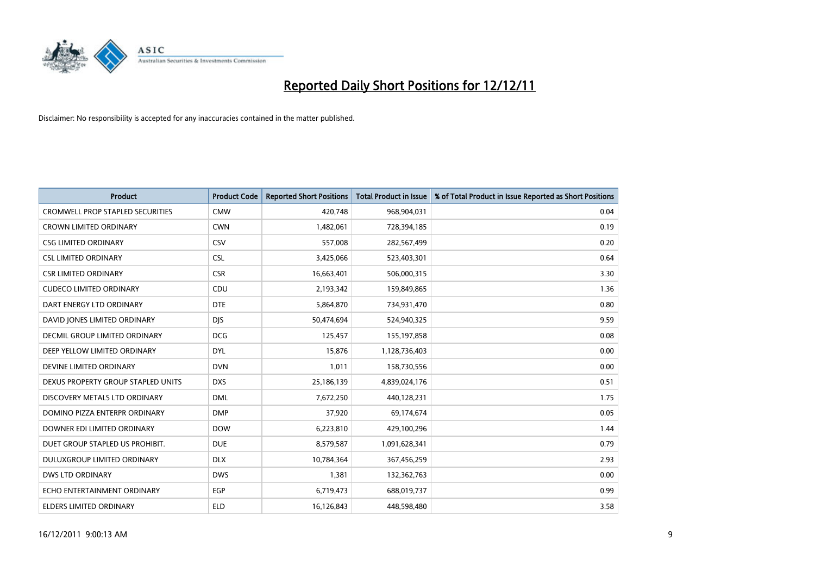

| <b>Product</b>                          | <b>Product Code</b> | <b>Reported Short Positions</b> | <b>Total Product in Issue</b> | % of Total Product in Issue Reported as Short Positions |
|-----------------------------------------|---------------------|---------------------------------|-------------------------------|---------------------------------------------------------|
| <b>CROMWELL PROP STAPLED SECURITIES</b> | <b>CMW</b>          | 420,748                         | 968,904,031                   | 0.04                                                    |
| CROWN LIMITED ORDINARY                  | <b>CWN</b>          | 1,482,061                       | 728,394,185                   | 0.19                                                    |
| <b>CSG LIMITED ORDINARY</b>             | CSV                 | 557,008                         | 282,567,499                   | 0.20                                                    |
| <b>CSL LIMITED ORDINARY</b>             | <b>CSL</b>          | 3,425,066                       | 523,403,301                   | 0.64                                                    |
| <b>CSR LIMITED ORDINARY</b>             | <b>CSR</b>          | 16,663,401                      | 506,000,315                   | 3.30                                                    |
| <b>CUDECO LIMITED ORDINARY</b>          | CDU                 | 2,193,342                       | 159,849,865                   | 1.36                                                    |
| DART ENERGY LTD ORDINARY                | <b>DTE</b>          | 5,864,870                       | 734,931,470                   | 0.80                                                    |
| DAVID JONES LIMITED ORDINARY            | <b>DIS</b>          | 50,474,694                      | 524,940,325                   | 9.59                                                    |
| DECMIL GROUP LIMITED ORDINARY           | <b>DCG</b>          | 125,457                         | 155, 197, 858                 | 0.08                                                    |
| DEEP YELLOW LIMITED ORDINARY            | <b>DYL</b>          | 15,876                          | 1,128,736,403                 | 0.00                                                    |
| DEVINE LIMITED ORDINARY                 | <b>DVN</b>          | 1,011                           | 158,730,556                   | 0.00                                                    |
| DEXUS PROPERTY GROUP STAPLED UNITS      | <b>DXS</b>          | 25,186,139                      | 4,839,024,176                 | 0.51                                                    |
| DISCOVERY METALS LTD ORDINARY           | <b>DML</b>          | 7,672,250                       | 440,128,231                   | 1.75                                                    |
| DOMINO PIZZA ENTERPR ORDINARY           | <b>DMP</b>          | 37,920                          | 69,174,674                    | 0.05                                                    |
| DOWNER EDI LIMITED ORDINARY             | <b>DOW</b>          | 6,223,810                       | 429,100,296                   | 1.44                                                    |
| DUET GROUP STAPLED US PROHIBIT.         | <b>DUE</b>          | 8,579,587                       | 1,091,628,341                 | 0.79                                                    |
| DULUXGROUP LIMITED ORDINARY             | <b>DLX</b>          | 10,784,364                      | 367,456,259                   | 2.93                                                    |
| <b>DWS LTD ORDINARY</b>                 | <b>DWS</b>          | 1,381                           | 132,362,763                   | 0.00                                                    |
| ECHO ENTERTAINMENT ORDINARY             | <b>EGP</b>          | 6,719,473                       | 688,019,737                   | 0.99                                                    |
| ELDERS LIMITED ORDINARY                 | <b>ELD</b>          | 16,126,843                      | 448,598,480                   | 3.58                                                    |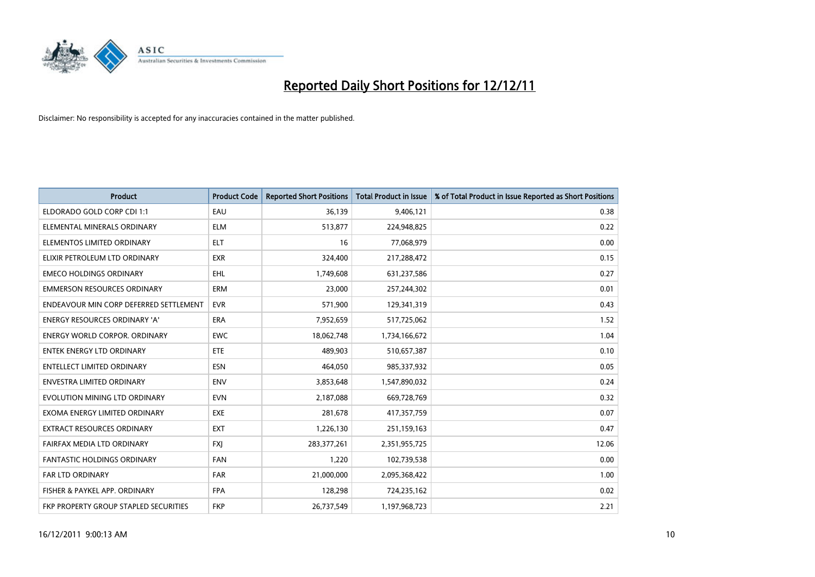

| <b>Product</b>                         | <b>Product Code</b> | <b>Reported Short Positions</b> | <b>Total Product in Issue</b> | % of Total Product in Issue Reported as Short Positions |
|----------------------------------------|---------------------|---------------------------------|-------------------------------|---------------------------------------------------------|
| ELDORADO GOLD CORP CDI 1:1             | EAU                 | 36,139                          | 9,406,121                     | 0.38                                                    |
| ELEMENTAL MINERALS ORDINARY            | <b>ELM</b>          | 513,877                         | 224,948,825                   | 0.22                                                    |
| ELEMENTOS LIMITED ORDINARY             | <b>ELT</b>          | 16                              | 77,068,979                    | 0.00                                                    |
| ELIXIR PETROLEUM LTD ORDINARY          | <b>EXR</b>          | 324,400                         | 217,288,472                   | 0.15                                                    |
| <b>EMECO HOLDINGS ORDINARY</b>         | <b>EHL</b>          | 1,749,608                       | 631,237,586                   | 0.27                                                    |
| <b>EMMERSON RESOURCES ORDINARY</b>     | ERM                 | 23,000                          | 257,244,302                   | 0.01                                                    |
| ENDEAVOUR MIN CORP DEFERRED SETTLEMENT | <b>EVR</b>          | 571,900                         | 129,341,319                   | 0.43                                                    |
| ENERGY RESOURCES ORDINARY 'A'          | <b>ERA</b>          | 7,952,659                       | 517,725,062                   | 1.52                                                    |
| <b>ENERGY WORLD CORPOR, ORDINARY</b>   | <b>EWC</b>          | 18,062,748                      | 1,734,166,672                 | 1.04                                                    |
| <b>ENTEK ENERGY LTD ORDINARY</b>       | <b>ETE</b>          | 489,903                         | 510,657,387                   | 0.10                                                    |
| ENTELLECT LIMITED ORDINARY             | <b>ESN</b>          | 464,050                         | 985,337,932                   | 0.05                                                    |
| <b>ENVESTRA LIMITED ORDINARY</b>       | <b>ENV</b>          | 3,853,648                       | 1,547,890,032                 | 0.24                                                    |
| EVOLUTION MINING LTD ORDINARY          | <b>EVN</b>          | 2,187,088                       | 669,728,769                   | 0.32                                                    |
| EXOMA ENERGY LIMITED ORDINARY          | <b>EXE</b>          | 281,678                         | 417,357,759                   | 0.07                                                    |
| <b>EXTRACT RESOURCES ORDINARY</b>      | EXT                 | 1,226,130                       | 251,159,163                   | 0.47                                                    |
| FAIRFAX MEDIA LTD ORDINARY             | <b>FXI</b>          | 283, 377, 261                   | 2,351,955,725                 | 12.06                                                   |
| FANTASTIC HOLDINGS ORDINARY            | <b>FAN</b>          | 1,220                           | 102,739,538                   | 0.00                                                    |
| <b>FAR LTD ORDINARY</b>                | <b>FAR</b>          | 21,000,000                      | 2,095,368,422                 | 1.00                                                    |
| FISHER & PAYKEL APP. ORDINARY          | <b>FPA</b>          | 128,298                         | 724,235,162                   | 0.02                                                    |
| FKP PROPERTY GROUP STAPLED SECURITIES  | <b>FKP</b>          | 26,737,549                      | 1,197,968,723                 | 2.21                                                    |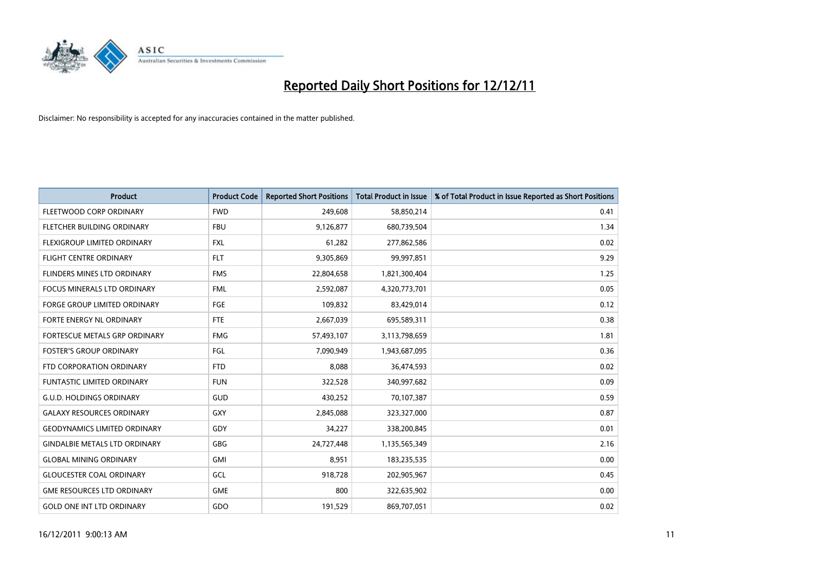

| <b>Product</b>                       | <b>Product Code</b> | <b>Reported Short Positions</b> | <b>Total Product in Issue</b> | % of Total Product in Issue Reported as Short Positions |
|--------------------------------------|---------------------|---------------------------------|-------------------------------|---------------------------------------------------------|
| FLEETWOOD CORP ORDINARY              | <b>FWD</b>          | 249,608                         | 58,850,214                    | 0.41                                                    |
| FLETCHER BUILDING ORDINARY           | <b>FBU</b>          | 9,126,877                       | 680,739,504                   | 1.34                                                    |
| FLEXIGROUP LIMITED ORDINARY          | <b>FXL</b>          | 61,282                          | 277,862,586                   | 0.02                                                    |
| FLIGHT CENTRE ORDINARY               | <b>FLT</b>          | 9,305,869                       | 99,997,851                    | 9.29                                                    |
| <b>FLINDERS MINES LTD ORDINARY</b>   | <b>FMS</b>          | 22,804,658                      | 1,821,300,404                 | 1.25                                                    |
| <b>FOCUS MINERALS LTD ORDINARY</b>   | <b>FML</b>          | 2,592,087                       | 4,320,773,701                 | 0.05                                                    |
| <b>FORGE GROUP LIMITED ORDINARY</b>  | <b>FGE</b>          | 109,832                         | 83,429,014                    | 0.12                                                    |
| FORTE ENERGY NL ORDINARY             | <b>FTE</b>          | 2,667,039                       | 695,589,311                   | 0.38                                                    |
| <b>FORTESCUE METALS GRP ORDINARY</b> | <b>FMG</b>          | 57,493,107                      | 3,113,798,659                 | 1.81                                                    |
| <b>FOSTER'S GROUP ORDINARY</b>       | FGL                 | 7,090,949                       | 1,943,687,095                 | 0.36                                                    |
| FTD CORPORATION ORDINARY             | <b>FTD</b>          | 8,088                           | 36,474,593                    | 0.02                                                    |
| <b>FUNTASTIC LIMITED ORDINARY</b>    | <b>FUN</b>          | 322,528                         | 340,997,682                   | 0.09                                                    |
| <b>G.U.D. HOLDINGS ORDINARY</b>      | GUD                 | 430,252                         | 70,107,387                    | 0.59                                                    |
| <b>GALAXY RESOURCES ORDINARY</b>     | GXY                 | 2,845,088                       | 323,327,000                   | 0.87                                                    |
| <b>GEODYNAMICS LIMITED ORDINARY</b>  | GDY                 | 34,227                          | 338,200,845                   | 0.01                                                    |
| <b>GINDALBIE METALS LTD ORDINARY</b> | GBG                 | 24,727,448                      | 1,135,565,349                 | 2.16                                                    |
| <b>GLOBAL MINING ORDINARY</b>        | <b>GMI</b>          | 8,951                           | 183,235,535                   | 0.00                                                    |
| <b>GLOUCESTER COAL ORDINARY</b>      | GCL                 | 918,728                         | 202,905,967                   | 0.45                                                    |
| <b>GME RESOURCES LTD ORDINARY</b>    | <b>GME</b>          | 800                             | 322,635,902                   | 0.00                                                    |
| <b>GOLD ONE INT LTD ORDINARY</b>     | GDO                 | 191,529                         | 869,707,051                   | 0.02                                                    |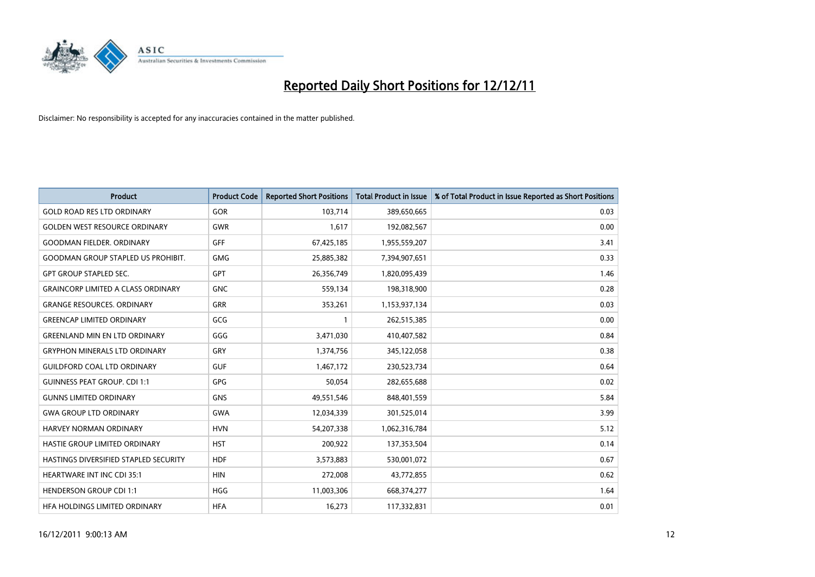

| <b>Product</b>                            | <b>Product Code</b> | <b>Reported Short Positions</b> | <b>Total Product in Issue</b> | % of Total Product in Issue Reported as Short Positions |
|-------------------------------------------|---------------------|---------------------------------|-------------------------------|---------------------------------------------------------|
| <b>GOLD ROAD RES LTD ORDINARY</b>         | <b>GOR</b>          | 103,714                         | 389,650,665                   | 0.03                                                    |
| <b>GOLDEN WEST RESOURCE ORDINARY</b>      | <b>GWR</b>          | 1,617                           | 192,082,567                   | 0.00                                                    |
| GOODMAN FIELDER. ORDINARY                 | <b>GFF</b>          | 67,425,185                      | 1,955,559,207                 | 3.41                                                    |
| <b>GOODMAN GROUP STAPLED US PROHIBIT.</b> | <b>GMG</b>          | 25,885,382                      | 7,394,907,651                 | 0.33                                                    |
| <b>GPT GROUP STAPLED SEC.</b>             | <b>GPT</b>          | 26,356,749                      | 1,820,095,439                 | 1.46                                                    |
| <b>GRAINCORP LIMITED A CLASS ORDINARY</b> | <b>GNC</b>          | 559,134                         | 198,318,900                   | 0.28                                                    |
| <b>GRANGE RESOURCES, ORDINARY</b>         | GRR                 | 353,261                         | 1,153,937,134                 | 0.03                                                    |
| <b>GREENCAP LIMITED ORDINARY</b>          | GCG                 |                                 | 262,515,385                   | 0.00                                                    |
| <b>GREENLAND MIN EN LTD ORDINARY</b>      | GGG                 | 3,471,030                       | 410,407,582                   | 0.84                                                    |
| <b>GRYPHON MINERALS LTD ORDINARY</b>      | GRY                 | 1,374,756                       | 345,122,058                   | 0.38                                                    |
| <b>GUILDFORD COAL LTD ORDINARY</b>        | <b>GUF</b>          | 1,467,172                       | 230,523,734                   | 0.64                                                    |
| <b>GUINNESS PEAT GROUP. CDI 1:1</b>       | <b>GPG</b>          | 50,054                          | 282,655,688                   | 0.02                                                    |
| <b>GUNNS LIMITED ORDINARY</b>             | <b>GNS</b>          | 49,551,546                      | 848,401,559                   | 5.84                                                    |
| <b>GWA GROUP LTD ORDINARY</b>             | <b>GWA</b>          | 12,034,339                      | 301,525,014                   | 3.99                                                    |
| HARVEY NORMAN ORDINARY                    | <b>HVN</b>          | 54,207,338                      | 1,062,316,784                 | 5.12                                                    |
| HASTIE GROUP LIMITED ORDINARY             | <b>HST</b>          | 200,922                         | 137,353,504                   | 0.14                                                    |
| HASTINGS DIVERSIFIED STAPLED SECURITY     | <b>HDF</b>          | 3,573,883                       | 530,001,072                   | 0.67                                                    |
| <b>HEARTWARE INT INC CDI 35:1</b>         | <b>HIN</b>          | 272,008                         | 43,772,855                    | 0.62                                                    |
| <b>HENDERSON GROUP CDI 1:1</b>            | <b>HGG</b>          | 11,003,306                      | 668,374,277                   | 1.64                                                    |
| HFA HOLDINGS LIMITED ORDINARY             | <b>HFA</b>          | 16.273                          | 117,332,831                   | 0.01                                                    |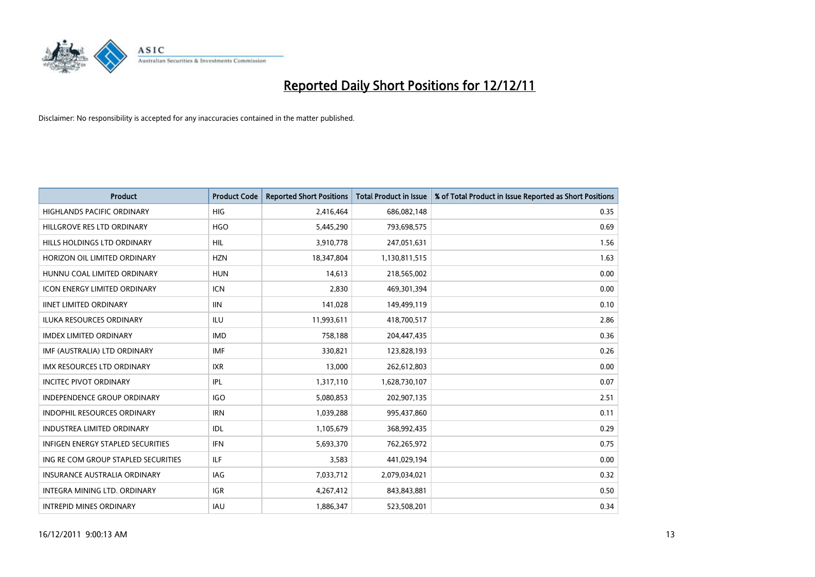

| <b>Product</b>                           | <b>Product Code</b> | <b>Reported Short Positions</b> | <b>Total Product in Issue</b> | % of Total Product in Issue Reported as Short Positions |
|------------------------------------------|---------------------|---------------------------------|-------------------------------|---------------------------------------------------------|
| <b>HIGHLANDS PACIFIC ORDINARY</b>        | <b>HIG</b>          | 2,416,464                       | 686,082,148                   | 0.35                                                    |
| HILLGROVE RES LTD ORDINARY               | <b>HGO</b>          | 5,445,290                       | 793,698,575                   | 0.69                                                    |
| HILLS HOLDINGS LTD ORDINARY              | <b>HIL</b>          | 3,910,778                       | 247,051,631                   | 1.56                                                    |
| HORIZON OIL LIMITED ORDINARY             | <b>HZN</b>          | 18,347,804                      | 1,130,811,515                 | 1.63                                                    |
| HUNNU COAL LIMITED ORDINARY              | <b>HUN</b>          | 14.613                          | 218,565,002                   | 0.00                                                    |
| <b>ICON ENERGY LIMITED ORDINARY</b>      | <b>ICN</b>          | 2,830                           | 469,301,394                   | 0.00                                                    |
| <b>IINET LIMITED ORDINARY</b>            | <b>IIN</b>          | 141.028                         | 149,499,119                   | 0.10                                                    |
| <b>ILUKA RESOURCES ORDINARY</b>          | ILU                 | 11,993,611                      | 418,700,517                   | 2.86                                                    |
| <b>IMDEX LIMITED ORDINARY</b>            | <b>IMD</b>          | 758,188                         | 204,447,435                   | 0.36                                                    |
| IMF (AUSTRALIA) LTD ORDINARY             | <b>IMF</b>          | 330,821                         | 123,828,193                   | 0.26                                                    |
| <b>IMX RESOURCES LTD ORDINARY</b>        | <b>IXR</b>          | 13,000                          | 262,612,803                   | 0.00                                                    |
| <b>INCITEC PIVOT ORDINARY</b>            | IPL                 | 1,317,110                       | 1,628,730,107                 | 0.07                                                    |
| <b>INDEPENDENCE GROUP ORDINARY</b>       | <b>IGO</b>          | 5,080,853                       | 202,907,135                   | 2.51                                                    |
| <b>INDOPHIL RESOURCES ORDINARY</b>       | <b>IRN</b>          | 1,039,288                       | 995,437,860                   | 0.11                                                    |
| <b>INDUSTREA LIMITED ORDINARY</b>        | IDL                 | 1,105,679                       | 368,992,435                   | 0.29                                                    |
| <b>INFIGEN ENERGY STAPLED SECURITIES</b> | <b>IFN</b>          | 5,693,370                       | 762,265,972                   | 0.75                                                    |
| ING RE COM GROUP STAPLED SECURITIES      | ILF.                | 3,583                           | 441,029,194                   | 0.00                                                    |
| INSURANCE AUSTRALIA ORDINARY             | IAG                 | 7,033,712                       | 2,079,034,021                 | 0.32                                                    |
| <b>INTEGRA MINING LTD, ORDINARY</b>      | <b>IGR</b>          | 4,267,412                       | 843,843,881                   | 0.50                                                    |
| <b>INTREPID MINES ORDINARY</b>           | <b>IAU</b>          | 1,886,347                       | 523,508,201                   | 0.34                                                    |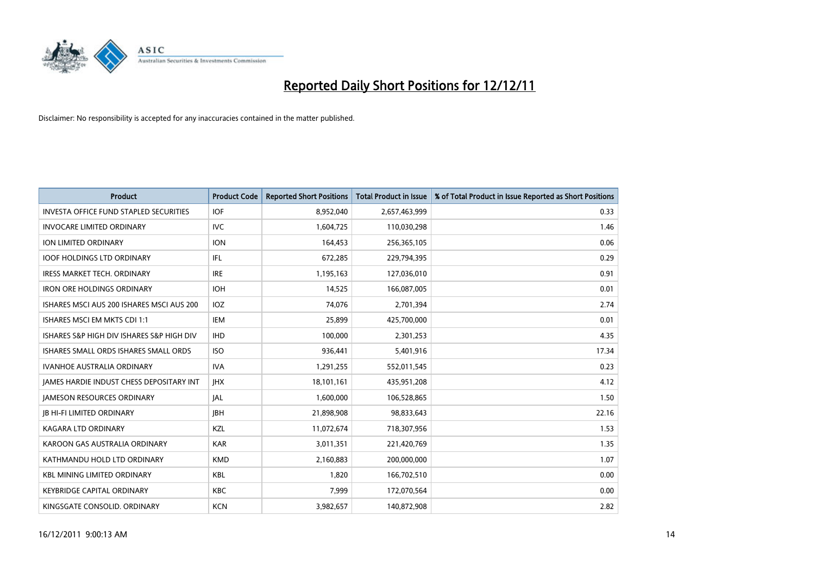

| <b>Product</b>                                  | <b>Product Code</b> | <b>Reported Short Positions</b> | <b>Total Product in Issue</b> | % of Total Product in Issue Reported as Short Positions |
|-------------------------------------------------|---------------------|---------------------------------|-------------------------------|---------------------------------------------------------|
| <b>INVESTA OFFICE FUND STAPLED SECURITIES</b>   | <b>IOF</b>          | 8,952,040                       | 2,657,463,999                 | 0.33                                                    |
| <b>INVOCARE LIMITED ORDINARY</b>                | <b>IVC</b>          | 1,604,725                       | 110,030,298                   | 1.46                                                    |
| <b>ION LIMITED ORDINARY</b>                     | <b>ION</b>          | 164,453                         | 256,365,105                   | 0.06                                                    |
| <b>IOOF HOLDINGS LTD ORDINARY</b>               | <b>IFL</b>          | 672,285                         | 229,794,395                   | 0.29                                                    |
| <b>IRESS MARKET TECH. ORDINARY</b>              | <b>IRE</b>          | 1,195,163                       | 127,036,010                   | 0.91                                                    |
| <b>IRON ORE HOLDINGS ORDINARY</b>               | <b>IOH</b>          | 14,525                          | 166,087,005                   | 0.01                                                    |
| ISHARES MSCI AUS 200 ISHARES MSCI AUS 200       | <b>IOZ</b>          | 74.076                          | 2,701,394                     | 2.74                                                    |
| ISHARES MSCI EM MKTS CDI 1:1                    | <b>IEM</b>          | 25,899                          | 425,700,000                   | 0.01                                                    |
| ISHARES S&P HIGH DIV ISHARES S&P HIGH DIV       | <b>IHD</b>          | 100,000                         | 2,301,253                     | 4.35                                                    |
| ISHARES SMALL ORDS ISHARES SMALL ORDS           | <b>ISO</b>          | 936,441                         | 5,401,916                     | 17.34                                                   |
| <b>IVANHOE AUSTRALIA ORDINARY</b>               | <b>IVA</b>          | 1,291,255                       | 552,011,545                   | 0.23                                                    |
| <b>JAMES HARDIE INDUST CHESS DEPOSITARY INT</b> | <b>IHX</b>          | 18,101,161                      | 435,951,208                   | 4.12                                                    |
| <b>JAMESON RESOURCES ORDINARY</b>               | IAL                 | 1,600,000                       | 106,528,865                   | 1.50                                                    |
| <b>JB HI-FI LIMITED ORDINARY</b>                | <b>IBH</b>          | 21,898,908                      | 98,833,643                    | 22.16                                                   |
| KAGARA LTD ORDINARY                             | <b>KZL</b>          | 11,072,674                      | 718,307,956                   | 1.53                                                    |
| KAROON GAS AUSTRALIA ORDINARY                   | <b>KAR</b>          | 3,011,351                       | 221,420,769                   | 1.35                                                    |
| KATHMANDU HOLD LTD ORDINARY                     | <b>KMD</b>          | 2,160,883                       | 200,000,000                   | 1.07                                                    |
| <b>KBL MINING LIMITED ORDINARY</b>              | <b>KBL</b>          | 1,820                           | 166,702,510                   | 0.00                                                    |
| <b>KEYBRIDGE CAPITAL ORDINARY</b>               | <b>KBC</b>          | 7,999                           | 172,070,564                   | 0.00                                                    |
| KINGSGATE CONSOLID. ORDINARY                    | <b>KCN</b>          | 3,982,657                       | 140.872.908                   | 2.82                                                    |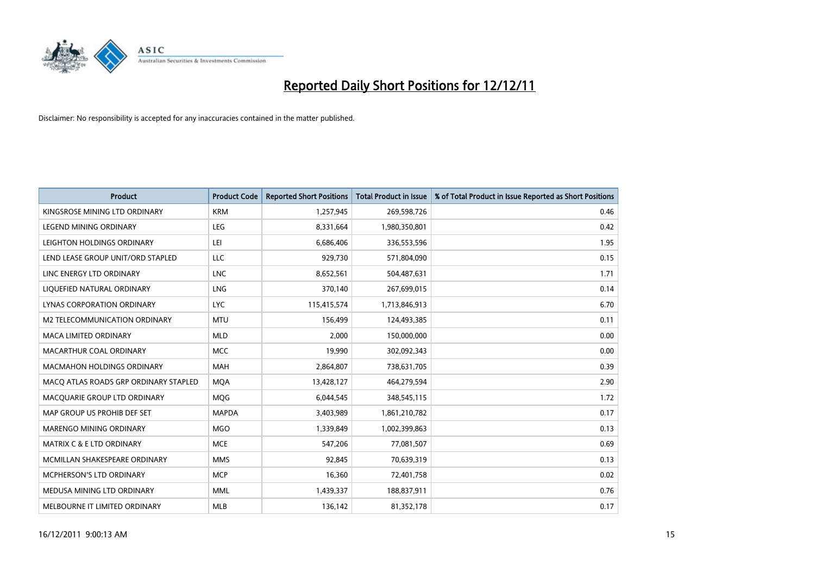

| <b>Product</b>                        | <b>Product Code</b> | <b>Reported Short Positions</b> | <b>Total Product in Issue</b> | % of Total Product in Issue Reported as Short Positions |
|---------------------------------------|---------------------|---------------------------------|-------------------------------|---------------------------------------------------------|
| KINGSROSE MINING LTD ORDINARY         | <b>KRM</b>          | 1,257,945                       | 269,598,726                   | 0.46                                                    |
| LEGEND MINING ORDINARY                | <b>LEG</b>          | 8,331,664                       | 1,980,350,801                 | 0.42                                                    |
| LEIGHTON HOLDINGS ORDINARY            | LEI                 | 6,686,406                       | 336,553,596                   | 1.95                                                    |
| LEND LEASE GROUP UNIT/ORD STAPLED     | LLC                 | 929,730                         | 571,804,090                   | 0.15                                                    |
| LINC ENERGY LTD ORDINARY              | <b>LNC</b>          | 8,652,561                       | 504,487,631                   | 1.71                                                    |
| LIQUEFIED NATURAL ORDINARY            | LNG                 | 370,140                         | 267,699,015                   | 0.14                                                    |
| LYNAS CORPORATION ORDINARY            | <b>LYC</b>          | 115,415,574                     | 1,713,846,913                 | 6.70                                                    |
| M2 TELECOMMUNICATION ORDINARY         | <b>MTU</b>          | 156,499                         | 124,493,385                   | 0.11                                                    |
| <b>MACA LIMITED ORDINARY</b>          | <b>MLD</b>          | 2,000                           | 150,000,000                   | 0.00                                                    |
| MACARTHUR COAL ORDINARY               | <b>MCC</b>          | 19,990                          | 302,092,343                   | 0.00                                                    |
| MACMAHON HOLDINGS ORDINARY            | <b>MAH</b>          | 2,864,807                       | 738,631,705                   | 0.39                                                    |
| MACQ ATLAS ROADS GRP ORDINARY STAPLED | <b>MQA</b>          | 13,428,127                      | 464,279,594                   | 2.90                                                    |
| MACQUARIE GROUP LTD ORDINARY          | <b>MOG</b>          | 6,044,545                       | 348,545,115                   | 1.72                                                    |
| MAP GROUP US PROHIB DEF SET           | <b>MAPDA</b>        | 3,403,989                       | 1,861,210,782                 | 0.17                                                    |
| <b>MARENGO MINING ORDINARY</b>        | <b>MGO</b>          | 1,339,849                       | 1,002,399,863                 | 0.13                                                    |
| MATRIX C & E LTD ORDINARY             | <b>MCE</b>          | 547,206                         | 77,081,507                    | 0.69                                                    |
| MCMILLAN SHAKESPEARE ORDINARY         | <b>MMS</b>          | 92,845                          | 70,639,319                    | 0.13                                                    |
| MCPHERSON'S LTD ORDINARY              | <b>MCP</b>          | 16,360                          | 72,401,758                    | 0.02                                                    |
| MEDUSA MINING LTD ORDINARY            | <b>MML</b>          | 1,439,337                       | 188,837,911                   | 0.76                                                    |
| MELBOURNE IT LIMITED ORDINARY         | <b>MLB</b>          | 136,142                         | 81,352,178                    | 0.17                                                    |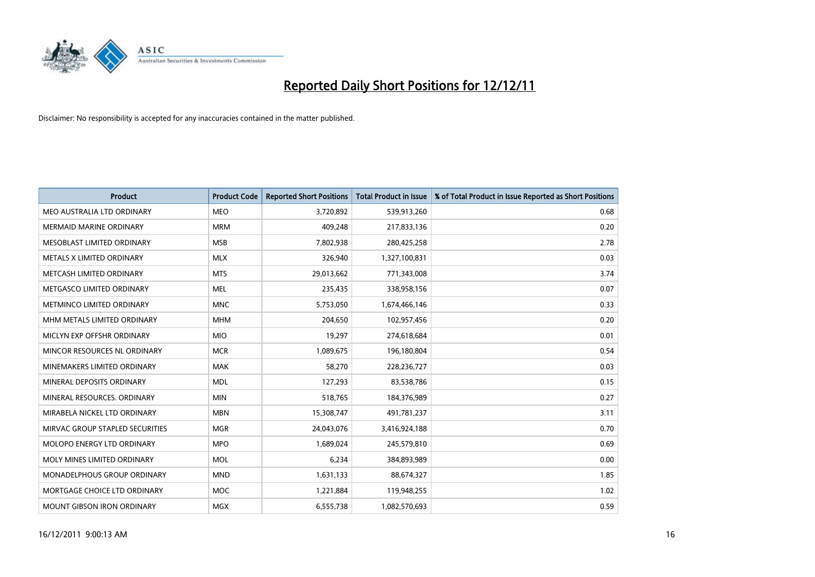

| <b>Product</b>                   | <b>Product Code</b> | <b>Reported Short Positions</b> | <b>Total Product in Issue</b> | % of Total Product in Issue Reported as Short Positions |
|----------------------------------|---------------------|---------------------------------|-------------------------------|---------------------------------------------------------|
| MEO AUSTRALIA LTD ORDINARY       | <b>MEO</b>          | 3,720,892                       | 539,913,260                   | 0.68                                                    |
| <b>MERMAID MARINE ORDINARY</b>   | <b>MRM</b>          | 409,248                         | 217,833,136                   | 0.20                                                    |
| MESOBLAST LIMITED ORDINARY       | <b>MSB</b>          | 7,802,938                       | 280,425,258                   | 2.78                                                    |
| METALS X LIMITED ORDINARY        | <b>MLX</b>          | 326,940                         | 1,327,100,831                 | 0.03                                                    |
| METCASH LIMITED ORDINARY         | <b>MTS</b>          | 29,013,662                      | 771,343,008                   | 3.74                                                    |
| METGASCO LIMITED ORDINARY        | <b>MEL</b>          | 235,435                         | 338,958,156                   | 0.07                                                    |
| <b>METMINCO LIMITED ORDINARY</b> | <b>MNC</b>          | 5,753,050                       | 1,674,466,146                 | 0.33                                                    |
| MHM METALS LIMITED ORDINARY      | <b>MHM</b>          | 204,650                         | 102,957,456                   | 0.20                                                    |
| MICLYN EXP OFFSHR ORDINARY       | <b>MIO</b>          | 19,297                          | 274,618,684                   | 0.01                                                    |
| MINCOR RESOURCES NL ORDINARY     | <b>MCR</b>          | 1,089,675                       | 196,180,804                   | 0.54                                                    |
| MINEMAKERS LIMITED ORDINARY      | <b>MAK</b>          | 58,270                          | 228,236,727                   | 0.03                                                    |
| MINERAL DEPOSITS ORDINARY        | <b>MDL</b>          | 127,293                         | 83,538,786                    | 0.15                                                    |
| MINERAL RESOURCES. ORDINARY      | <b>MIN</b>          | 518,765                         | 184,376,989                   | 0.27                                                    |
| MIRABELA NICKEL LTD ORDINARY     | <b>MBN</b>          | 15,308,747                      | 491,781,237                   | 3.11                                                    |
| MIRVAC GROUP STAPLED SECURITIES  | <b>MGR</b>          | 24,043,076                      | 3,416,924,188                 | 0.70                                                    |
| MOLOPO ENERGY LTD ORDINARY       | <b>MPO</b>          | 1,689,024                       | 245,579,810                   | 0.69                                                    |
| MOLY MINES LIMITED ORDINARY      | <b>MOL</b>          | 6,234                           | 384,893,989                   | 0.00                                                    |
| MONADELPHOUS GROUP ORDINARY      | <b>MND</b>          | 1,631,133                       | 88,674,327                    | 1.85                                                    |
| MORTGAGE CHOICE LTD ORDINARY     | MOC                 | 1,221,884                       | 119,948,255                   | 1.02                                                    |
| MOUNT GIBSON IRON ORDINARY       | <b>MGX</b>          | 6,555,738                       | 1,082,570,693                 | 0.59                                                    |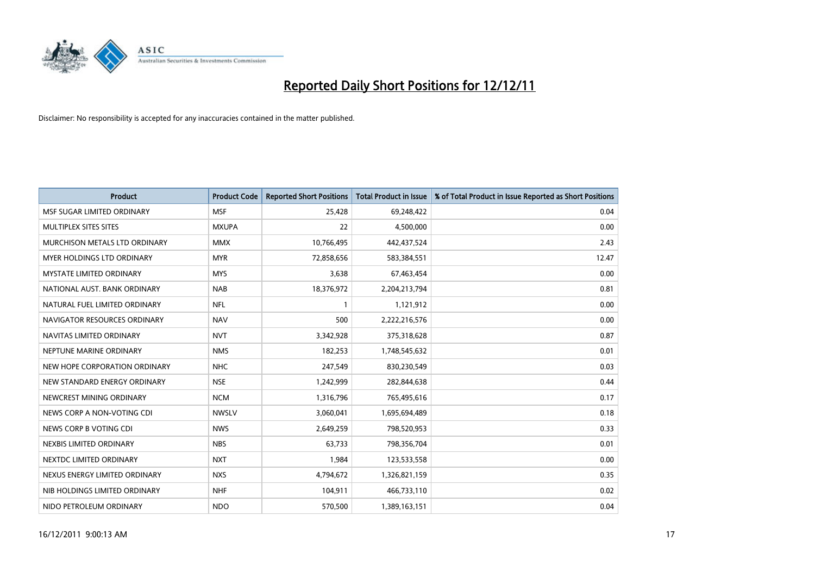

| <b>Product</b>                  | <b>Product Code</b> | <b>Reported Short Positions</b> | <b>Total Product in Issue</b> | % of Total Product in Issue Reported as Short Positions |
|---------------------------------|---------------------|---------------------------------|-------------------------------|---------------------------------------------------------|
| MSF SUGAR LIMITED ORDINARY      | <b>MSF</b>          | 25,428                          | 69,248,422                    | 0.04                                                    |
| MULTIPLEX SITES SITES           | <b>MXUPA</b>        | 22                              | 4,500,000                     | 0.00                                                    |
| MURCHISON METALS LTD ORDINARY   | <b>MMX</b>          | 10,766,495                      | 442,437,524                   | 2.43                                                    |
| MYER HOLDINGS LTD ORDINARY      | <b>MYR</b>          | 72,858,656                      | 583,384,551                   | 12.47                                                   |
| <b>MYSTATE LIMITED ORDINARY</b> | <b>MYS</b>          | 3,638                           | 67,463,454                    | 0.00                                                    |
| NATIONAL AUST. BANK ORDINARY    | <b>NAB</b>          | 18,376,972                      | 2,204,213,794                 | 0.81                                                    |
| NATURAL FUEL LIMITED ORDINARY   | <b>NFL</b>          |                                 | 1,121,912                     | 0.00                                                    |
| NAVIGATOR RESOURCES ORDINARY    | <b>NAV</b>          | 500                             | 2,222,216,576                 | 0.00                                                    |
| NAVITAS LIMITED ORDINARY        | <b>NVT</b>          | 3,342,928                       | 375,318,628                   | 0.87                                                    |
| NEPTUNE MARINE ORDINARY         | <b>NMS</b>          | 182,253                         | 1,748,545,632                 | 0.01                                                    |
| NEW HOPE CORPORATION ORDINARY   | <b>NHC</b>          | 247,549                         | 830,230,549                   | 0.03                                                    |
| NEW STANDARD ENERGY ORDINARY    | <b>NSE</b>          | 1,242,999                       | 282,844,638                   | 0.44                                                    |
| NEWCREST MINING ORDINARY        | <b>NCM</b>          | 1,316,796                       | 765,495,616                   | 0.17                                                    |
| NEWS CORP A NON-VOTING CDI      | <b>NWSLV</b>        | 3,060,041                       | 1,695,694,489                 | 0.18                                                    |
| NEWS CORP B VOTING CDI          | <b>NWS</b>          | 2,649,259                       | 798,520,953                   | 0.33                                                    |
| NEXBIS LIMITED ORDINARY         | <b>NBS</b>          | 63,733                          | 798,356,704                   | 0.01                                                    |
| NEXTDC LIMITED ORDINARY         | <b>NXT</b>          | 1,984                           | 123,533,558                   | 0.00                                                    |
| NEXUS ENERGY LIMITED ORDINARY   | <b>NXS</b>          | 4,794,672                       | 1,326,821,159                 | 0.35                                                    |
| NIB HOLDINGS LIMITED ORDINARY   | <b>NHF</b>          | 104,911                         | 466,733,110                   | 0.02                                                    |
| NIDO PETROLEUM ORDINARY         | <b>NDO</b>          | 570,500                         | 1,389,163,151                 | 0.04                                                    |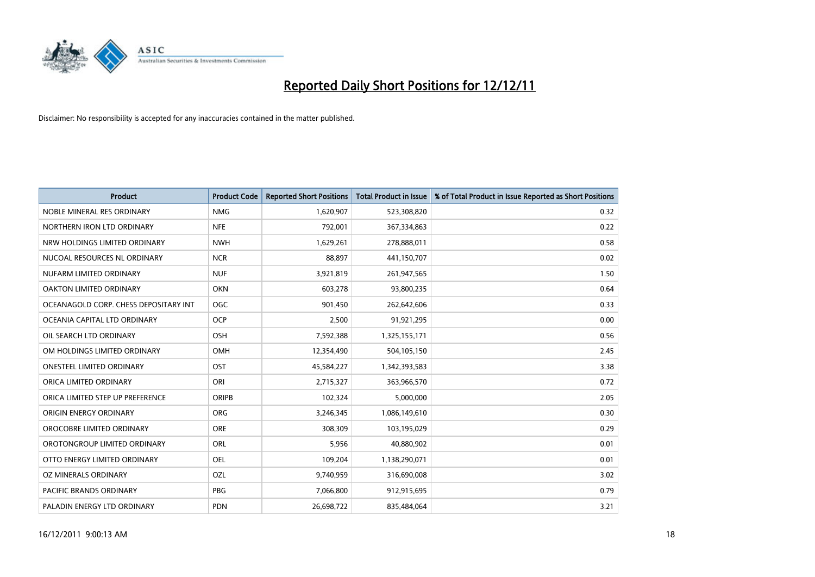

| <b>Product</b>                        | <b>Product Code</b> | <b>Reported Short Positions</b> | <b>Total Product in Issue</b> | % of Total Product in Issue Reported as Short Positions |
|---------------------------------------|---------------------|---------------------------------|-------------------------------|---------------------------------------------------------|
| NOBLE MINERAL RES ORDINARY            | <b>NMG</b>          | 1,620,907                       | 523,308,820                   | 0.32                                                    |
| NORTHERN IRON LTD ORDINARY            | <b>NFE</b>          | 792,001                         | 367,334,863                   | 0.22                                                    |
| NRW HOLDINGS LIMITED ORDINARY         | <b>NWH</b>          | 1,629,261                       | 278,888,011                   | 0.58                                                    |
| NUCOAL RESOURCES NL ORDINARY          | <b>NCR</b>          | 88,897                          | 441,150,707                   | 0.02                                                    |
| NUFARM LIMITED ORDINARY               | <b>NUF</b>          | 3,921,819                       | 261,947,565                   | 1.50                                                    |
| OAKTON LIMITED ORDINARY               | <b>OKN</b>          | 603,278                         | 93,800,235                    | 0.64                                                    |
| OCEANAGOLD CORP. CHESS DEPOSITARY INT | <b>OGC</b>          | 901,450                         | 262,642,606                   | 0.33                                                    |
| OCEANIA CAPITAL LTD ORDINARY          | <b>OCP</b>          | 2,500                           | 91,921,295                    | 0.00                                                    |
| OIL SEARCH LTD ORDINARY               | <b>OSH</b>          | 7,592,388                       | 1,325,155,171                 | 0.56                                                    |
| OM HOLDINGS LIMITED ORDINARY          | <b>OMH</b>          | 12,354,490                      | 504,105,150                   | 2.45                                                    |
| ONESTEEL LIMITED ORDINARY             | OST                 | 45,584,227                      | 1,342,393,583                 | 3.38                                                    |
| ORICA LIMITED ORDINARY                | ORI                 | 2,715,327                       | 363,966,570                   | 0.72                                                    |
| ORICA LIMITED STEP UP PREFERENCE      | <b>ORIPB</b>        | 102,324                         | 5,000,000                     | 2.05                                                    |
| ORIGIN ENERGY ORDINARY                | <b>ORG</b>          | 3,246,345                       | 1,086,149,610                 | 0.30                                                    |
| OROCOBRE LIMITED ORDINARY             | <b>ORE</b>          | 308,309                         | 103,195,029                   | 0.29                                                    |
| OROTONGROUP LIMITED ORDINARY          | ORL                 | 5,956                           | 40,880,902                    | 0.01                                                    |
| OTTO ENERGY LIMITED ORDINARY          | OEL                 | 109,204                         | 1,138,290,071                 | 0.01                                                    |
| OZ MINERALS ORDINARY                  | OZL                 | 9,740,959                       | 316,690,008                   | 3.02                                                    |
| <b>PACIFIC BRANDS ORDINARY</b>        | <b>PBG</b>          | 7,066,800                       | 912,915,695                   | 0.79                                                    |
| PALADIN ENERGY LTD ORDINARY           | <b>PDN</b>          | 26,698,722                      | 835,484,064                   | 3.21                                                    |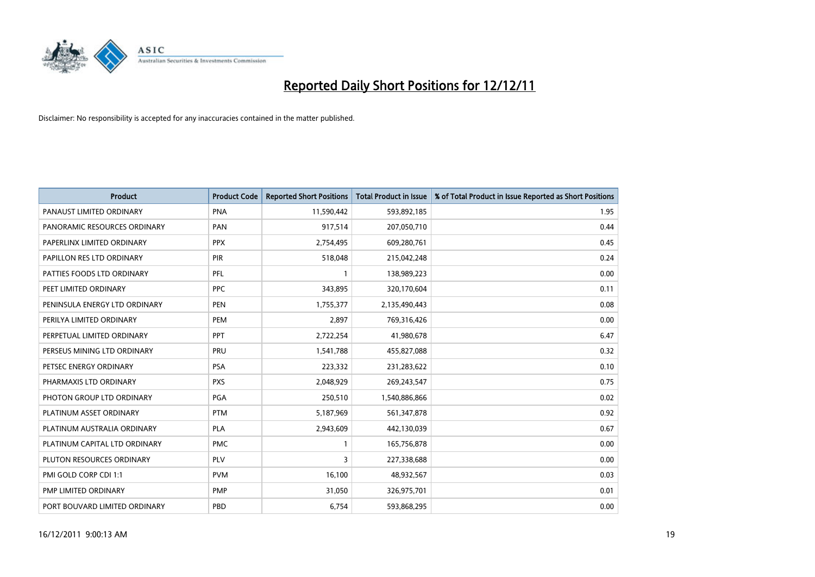

| <b>Product</b>                | <b>Product Code</b> | <b>Reported Short Positions</b> | <b>Total Product in Issue</b> | % of Total Product in Issue Reported as Short Positions |
|-------------------------------|---------------------|---------------------------------|-------------------------------|---------------------------------------------------------|
| PANAUST LIMITED ORDINARY      | <b>PNA</b>          | 11,590,442                      | 593,892,185                   | 1.95                                                    |
| PANORAMIC RESOURCES ORDINARY  | PAN                 | 917,514                         | 207,050,710                   | 0.44                                                    |
| PAPERLINX LIMITED ORDINARY    | <b>PPX</b>          | 2,754,495                       | 609,280,761                   | 0.45                                                    |
| PAPILLON RES LTD ORDINARY     | <b>PIR</b>          | 518,048                         | 215,042,248                   | 0.24                                                    |
| PATTIES FOODS LTD ORDINARY    | PFL                 |                                 | 138,989,223                   | 0.00                                                    |
| PEET LIMITED ORDINARY         | <b>PPC</b>          | 343,895                         | 320,170,604                   | 0.11                                                    |
| PENINSULA ENERGY LTD ORDINARY | <b>PEN</b>          | 1,755,377                       | 2,135,490,443                 | 0.08                                                    |
| PERILYA LIMITED ORDINARY      | PEM                 | 2,897                           | 769,316,426                   | 0.00                                                    |
| PERPETUAL LIMITED ORDINARY    | <b>PPT</b>          | 2,722,254                       | 41,980,678                    | 6.47                                                    |
| PERSEUS MINING LTD ORDINARY   | PRU                 | 1,541,788                       | 455,827,088                   | 0.32                                                    |
| PETSEC ENERGY ORDINARY        | <b>PSA</b>          | 223,332                         | 231,283,622                   | 0.10                                                    |
| PHARMAXIS LTD ORDINARY        | <b>PXS</b>          | 2,048,929                       | 269,243,547                   | 0.75                                                    |
| PHOTON GROUP LTD ORDINARY     | PGA                 | 250,510                         | 1,540,886,866                 | 0.02                                                    |
| PLATINUM ASSET ORDINARY       | <b>PTM</b>          | 5,187,969                       | 561,347,878                   | 0.92                                                    |
| PLATINUM AUSTRALIA ORDINARY   | <b>PLA</b>          | 2,943,609                       | 442,130,039                   | 0.67                                                    |
| PLATINUM CAPITAL LTD ORDINARY | <b>PMC</b>          |                                 | 165,756,878                   | 0.00                                                    |
| PLUTON RESOURCES ORDINARY     | <b>PLV</b>          | 3                               | 227,338,688                   | 0.00                                                    |
| PMI GOLD CORP CDI 1:1         | <b>PVM</b>          | 16,100                          | 48,932,567                    | 0.03                                                    |
| PMP LIMITED ORDINARY          | <b>PMP</b>          | 31,050                          | 326,975,701                   | 0.01                                                    |
| PORT BOUVARD LIMITED ORDINARY | PBD                 | 6,754                           | 593,868,295                   | 0.00                                                    |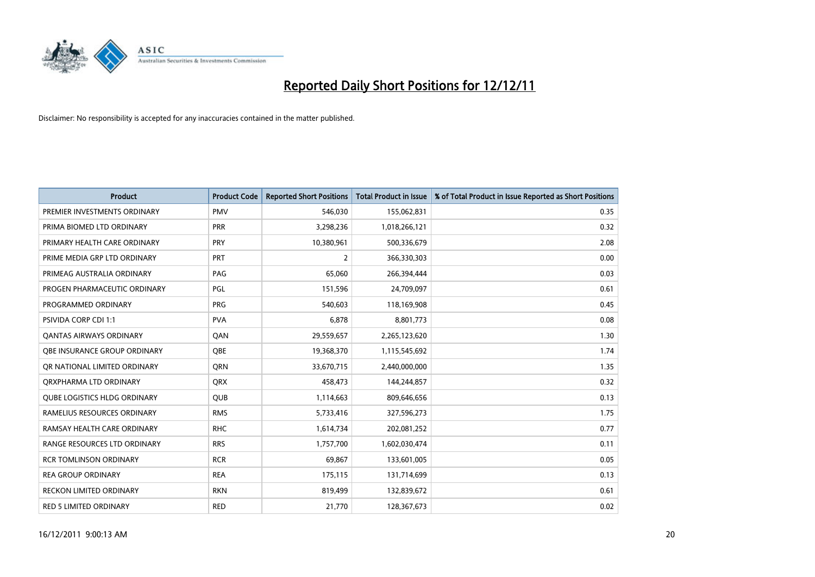

| <b>Product</b>                      | <b>Product Code</b> | <b>Reported Short Positions</b> | <b>Total Product in Issue</b> | % of Total Product in Issue Reported as Short Positions |
|-------------------------------------|---------------------|---------------------------------|-------------------------------|---------------------------------------------------------|
| PREMIER INVESTMENTS ORDINARY        | <b>PMV</b>          | 546.030                         | 155,062,831                   | 0.35                                                    |
| PRIMA BIOMED LTD ORDINARY           | <b>PRR</b>          | 3,298,236                       | 1,018,266,121                 | 0.32                                                    |
| PRIMARY HEALTH CARE ORDINARY        | <b>PRY</b>          | 10,380,961                      | 500,336,679                   | 2.08                                                    |
| PRIME MEDIA GRP LTD ORDINARY        | <b>PRT</b>          | 2                               | 366,330,303                   | 0.00                                                    |
| PRIMEAG AUSTRALIA ORDINARY          | PAG                 | 65,060                          | 266,394,444                   | 0.03                                                    |
| PROGEN PHARMACEUTIC ORDINARY        | PGL                 | 151,596                         | 24,709,097                    | 0.61                                                    |
| PROGRAMMED ORDINARY                 | <b>PRG</b>          | 540,603                         | 118,169,908                   | 0.45                                                    |
| PSIVIDA CORP CDI 1:1                | <b>PVA</b>          | 6,878                           | 8,801,773                     | 0.08                                                    |
| <b>QANTAS AIRWAYS ORDINARY</b>      | QAN                 | 29,559,657                      | 2,265,123,620                 | 1.30                                                    |
| OBE INSURANCE GROUP ORDINARY        | <b>OBE</b>          | 19,368,370                      | 1,115,545,692                 | 1.74                                                    |
| OR NATIONAL LIMITED ORDINARY        | <b>ORN</b>          | 33,670,715                      | 2,440,000,000                 | 1.35                                                    |
| ORXPHARMA LTD ORDINARY              | <b>ORX</b>          | 458,473                         | 144,244,857                   | 0.32                                                    |
| <b>QUBE LOGISTICS HLDG ORDINARY</b> | <b>QUB</b>          | 1,114,663                       | 809,646,656                   | 0.13                                                    |
| RAMELIUS RESOURCES ORDINARY         | <b>RMS</b>          | 5,733,416                       | 327,596,273                   | 1.75                                                    |
| RAMSAY HEALTH CARE ORDINARY         | <b>RHC</b>          | 1,614,734                       | 202,081,252                   | 0.77                                                    |
| RANGE RESOURCES LTD ORDINARY        | <b>RRS</b>          | 1,757,700                       | 1,602,030,474                 | 0.11                                                    |
| <b>RCR TOMLINSON ORDINARY</b>       | <b>RCR</b>          | 69,867                          | 133,601,005                   | 0.05                                                    |
| <b>REA GROUP ORDINARY</b>           | <b>REA</b>          | 175,115                         | 131,714,699                   | 0.13                                                    |
| <b>RECKON LIMITED ORDINARY</b>      | <b>RKN</b>          | 819,499                         | 132,839,672                   | 0.61                                                    |
| RED 5 LIMITED ORDINARY              | <b>RED</b>          | 21,770                          | 128,367,673                   | 0.02                                                    |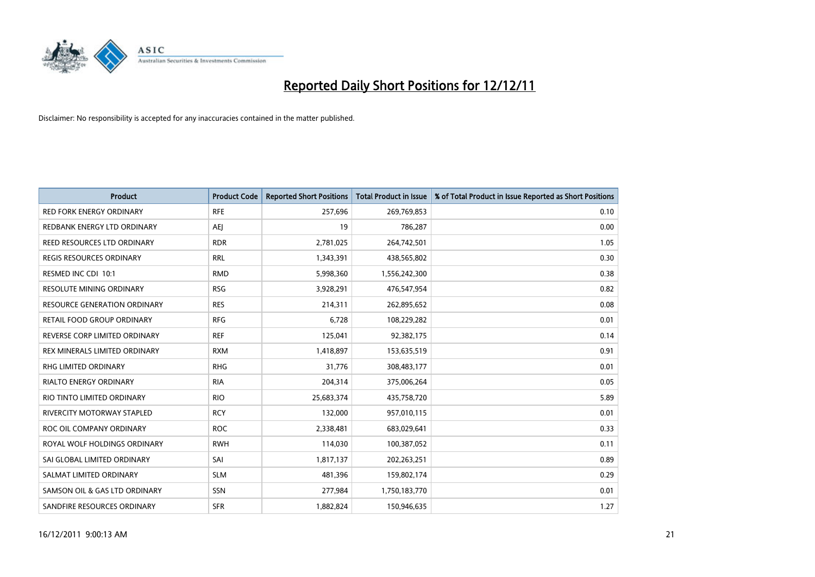

| <b>Product</b>                      | <b>Product Code</b> | <b>Reported Short Positions</b> | <b>Total Product in Issue</b> | % of Total Product in Issue Reported as Short Positions |
|-------------------------------------|---------------------|---------------------------------|-------------------------------|---------------------------------------------------------|
| <b>RED FORK ENERGY ORDINARY</b>     | <b>RFE</b>          | 257,696                         | 269,769,853                   | 0.10                                                    |
| REDBANK ENERGY LTD ORDINARY         | AEJ                 | 19                              | 786,287                       | 0.00                                                    |
| REED RESOURCES LTD ORDINARY         | <b>RDR</b>          | 2,781,025                       | 264,742,501                   | 1.05                                                    |
| REGIS RESOURCES ORDINARY            | <b>RRL</b>          | 1,343,391                       | 438,565,802                   | 0.30                                                    |
| RESMED INC CDI 10:1                 | <b>RMD</b>          | 5,998,360                       | 1,556,242,300                 | 0.38                                                    |
| <b>RESOLUTE MINING ORDINARY</b>     | <b>RSG</b>          | 3,928,291                       | 476,547,954                   | 0.82                                                    |
| <b>RESOURCE GENERATION ORDINARY</b> | <b>RES</b>          | 214,311                         | 262,895,652                   | 0.08                                                    |
| RETAIL FOOD GROUP ORDINARY          | <b>RFG</b>          | 6,728                           | 108,229,282                   | 0.01                                                    |
| REVERSE CORP LIMITED ORDINARY       | <b>REF</b>          | 125,041                         | 92,382,175                    | 0.14                                                    |
| REX MINERALS LIMITED ORDINARY       | <b>RXM</b>          | 1,418,897                       | 153,635,519                   | 0.91                                                    |
| RHG LIMITED ORDINARY                | <b>RHG</b>          | 31,776                          | 308,483,177                   | 0.01                                                    |
| <b>RIALTO ENERGY ORDINARY</b>       | <b>RIA</b>          | 204,314                         | 375,006,264                   | 0.05                                                    |
| RIO TINTO LIMITED ORDINARY          | <b>RIO</b>          | 25,683,374                      | 435,758,720                   | 5.89                                                    |
| RIVERCITY MOTORWAY STAPLED          | <b>RCY</b>          | 132,000                         | 957,010,115                   | 0.01                                                    |
| ROC OIL COMPANY ORDINARY            | <b>ROC</b>          | 2,338,481                       | 683,029,641                   | 0.33                                                    |
| ROYAL WOLF HOLDINGS ORDINARY        | <b>RWH</b>          | 114,030                         | 100,387,052                   | 0.11                                                    |
| SAI GLOBAL LIMITED ORDINARY         | SAI                 | 1,817,137                       | 202,263,251                   | 0.89                                                    |
| SALMAT LIMITED ORDINARY             | <b>SLM</b>          | 481,396                         | 159,802,174                   | 0.29                                                    |
| SAMSON OIL & GAS LTD ORDINARY       | SSN                 | 277,984                         | 1,750,183,770                 | 0.01                                                    |
| SANDFIRE RESOURCES ORDINARY         | <b>SFR</b>          | 1,882,824                       | 150,946,635                   | 1.27                                                    |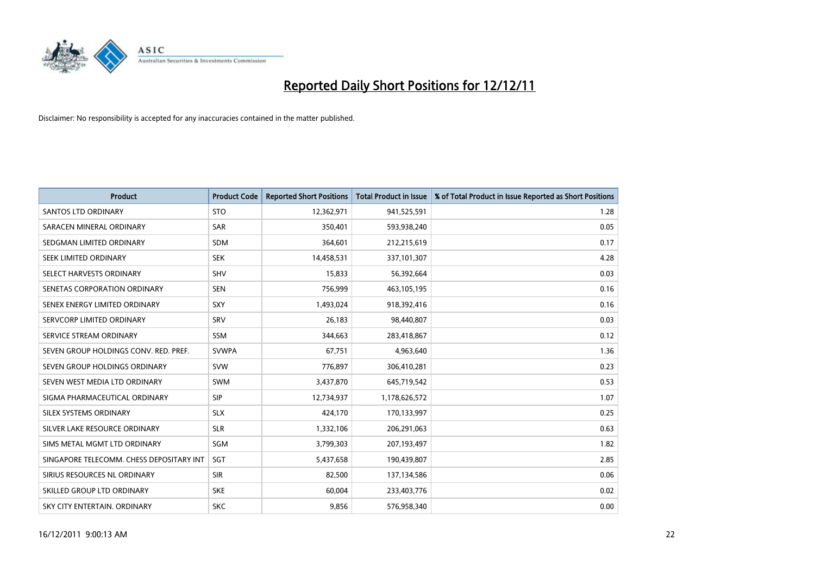

| <b>Product</b>                           | <b>Product Code</b> | <b>Reported Short Positions</b> | Total Product in Issue | % of Total Product in Issue Reported as Short Positions |
|------------------------------------------|---------------------|---------------------------------|------------------------|---------------------------------------------------------|
| <b>SANTOS LTD ORDINARY</b>               | <b>STO</b>          | 12,362,971                      | 941,525,591            | 1.28                                                    |
| SARACEN MINERAL ORDINARY                 | SAR                 | 350,401                         | 593,938,240            | 0.05                                                    |
| SEDGMAN LIMITED ORDINARY                 | <b>SDM</b>          | 364,601                         | 212,215,619            | 0.17                                                    |
| SEEK LIMITED ORDINARY                    | <b>SEK</b>          | 14,458,531                      | 337,101,307            | 4.28                                                    |
| SELECT HARVESTS ORDINARY                 | SHV                 | 15,833                          | 56,392,664             | 0.03                                                    |
| SENETAS CORPORATION ORDINARY             | <b>SEN</b>          | 756,999                         | 463,105,195            | 0.16                                                    |
| SENEX ENERGY LIMITED ORDINARY            | <b>SXY</b>          | 1,493,024                       | 918,392,416            | 0.16                                                    |
| SERVCORP LIMITED ORDINARY                | SRV                 | 26,183                          | 98,440,807             | 0.03                                                    |
| SERVICE STREAM ORDINARY                  | <b>SSM</b>          | 344,663                         | 283,418,867            | 0.12                                                    |
| SEVEN GROUP HOLDINGS CONV. RED. PREF.    | <b>SVWPA</b>        | 67,751                          | 4,963,640              | 1.36                                                    |
| SEVEN GROUP HOLDINGS ORDINARY            | <b>SVW</b>          | 776,897                         | 306,410,281            | 0.23                                                    |
| SEVEN WEST MEDIA LTD ORDINARY            | <b>SWM</b>          | 3,437,870                       | 645,719,542            | 0.53                                                    |
| SIGMA PHARMACEUTICAL ORDINARY            | <b>SIP</b>          | 12,734,937                      | 1,178,626,572          | 1.07                                                    |
| SILEX SYSTEMS ORDINARY                   | <b>SLX</b>          | 424,170                         | 170,133,997            | 0.25                                                    |
| SILVER LAKE RESOURCE ORDINARY            | <b>SLR</b>          | 1,332,106                       | 206,291,063            | 0.63                                                    |
| SIMS METAL MGMT LTD ORDINARY             | SGM                 | 3,799,303                       | 207,193,497            | 1.82                                                    |
| SINGAPORE TELECOMM. CHESS DEPOSITARY INT | SGT                 | 5,437,658                       | 190,439,807            | 2.85                                                    |
| SIRIUS RESOURCES NL ORDINARY             | <b>SIR</b>          | 82,500                          | 137,134,586            | 0.06                                                    |
| SKILLED GROUP LTD ORDINARY               | <b>SKE</b>          | 60.004                          | 233,403,776            | 0.02                                                    |
| SKY CITY ENTERTAIN, ORDINARY             | <b>SKC</b>          | 9,856                           | 576,958,340            | 0.00                                                    |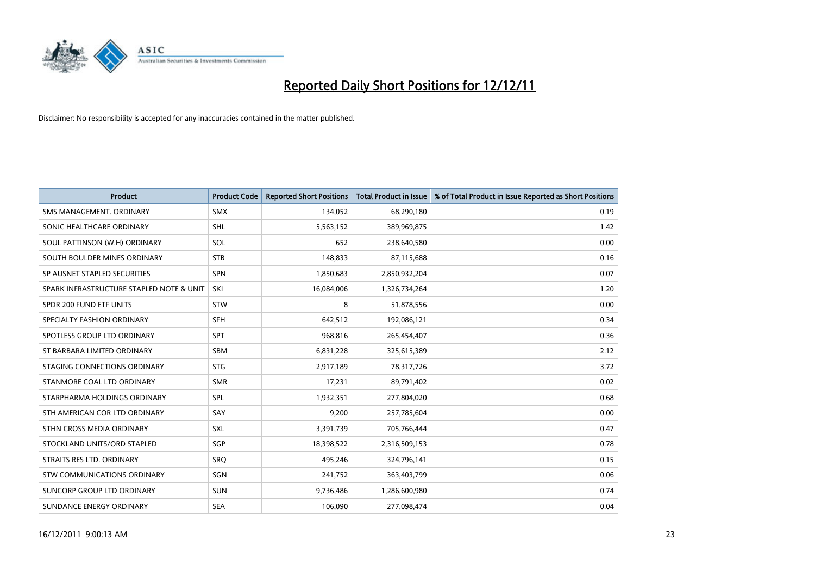

| <b>Product</b>                           | <b>Product Code</b> | <b>Reported Short Positions</b> | <b>Total Product in Issue</b> | % of Total Product in Issue Reported as Short Positions |
|------------------------------------------|---------------------|---------------------------------|-------------------------------|---------------------------------------------------------|
| SMS MANAGEMENT, ORDINARY                 | <b>SMX</b>          | 134,052                         | 68,290,180                    | 0.19                                                    |
| SONIC HEALTHCARE ORDINARY                | <b>SHL</b>          | 5,563,152                       | 389,969,875                   | 1.42                                                    |
| SOUL PATTINSON (W.H) ORDINARY            | SOL                 | 652                             | 238,640,580                   | 0.00                                                    |
| SOUTH BOULDER MINES ORDINARY             | <b>STB</b>          | 148,833                         | 87,115,688                    | 0.16                                                    |
| SP AUSNET STAPLED SECURITIES             | <b>SPN</b>          | 1,850,683                       | 2,850,932,204                 | 0.07                                                    |
| SPARK INFRASTRUCTURE STAPLED NOTE & UNIT | SKI                 | 16,084,006                      | 1,326,734,264                 | 1.20                                                    |
| SPDR 200 FUND ETF UNITS                  | <b>STW</b>          | 8                               | 51,878,556                    | 0.00                                                    |
| SPECIALTY FASHION ORDINARY               | <b>SFH</b>          | 642,512                         | 192,086,121                   | 0.34                                                    |
| SPOTLESS GROUP LTD ORDINARY              | <b>SPT</b>          | 968,816                         | 265,454,407                   | 0.36                                                    |
| ST BARBARA LIMITED ORDINARY              | <b>SBM</b>          | 6,831,228                       | 325,615,389                   | 2.12                                                    |
| STAGING CONNECTIONS ORDINARY             | <b>STG</b>          | 2,917,189                       | 78,317,726                    | 3.72                                                    |
| STANMORE COAL LTD ORDINARY               | <b>SMR</b>          | 17,231                          | 89,791,402                    | 0.02                                                    |
| STARPHARMA HOLDINGS ORDINARY             | SPL                 | 1,932,351                       | 277,804,020                   | 0.68                                                    |
| STH AMERICAN COR LTD ORDINARY            | SAY                 | 9,200                           | 257,785,604                   | 0.00                                                    |
| STHN CROSS MEDIA ORDINARY                | <b>SXL</b>          | 3,391,739                       | 705,766,444                   | 0.47                                                    |
| STOCKLAND UNITS/ORD STAPLED              | <b>SGP</b>          | 18,398,522                      | 2,316,509,153                 | 0.78                                                    |
| STRAITS RES LTD. ORDINARY                | SRO                 | 495,246                         | 324,796,141                   | 0.15                                                    |
| STW COMMUNICATIONS ORDINARY              | SGN                 | 241,752                         | 363,403,799                   | 0.06                                                    |
| SUNCORP GROUP LTD ORDINARY               | <b>SUN</b>          | 9,736,486                       | 1,286,600,980                 | 0.74                                                    |
| SUNDANCE ENERGY ORDINARY                 | <b>SEA</b>          | 106,090                         | 277,098,474                   | 0.04                                                    |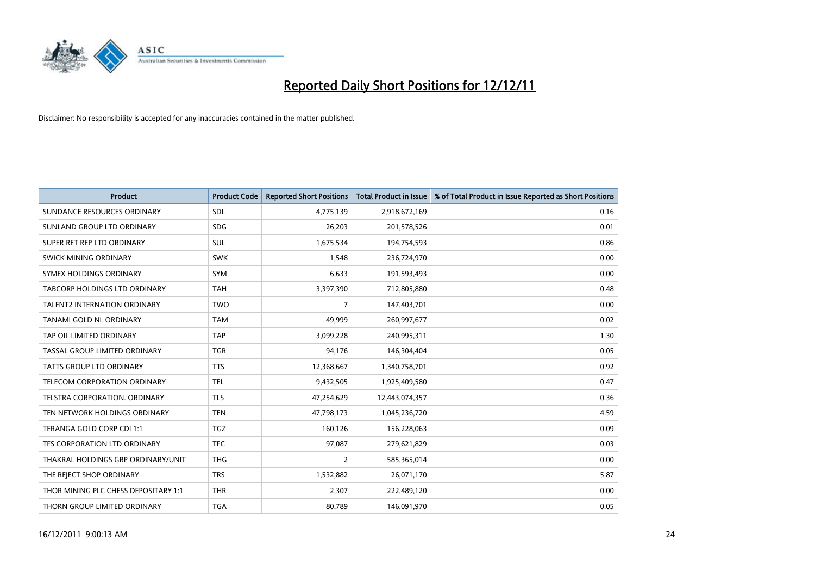

| <b>Product</b>                       | <b>Product Code</b> | <b>Reported Short Positions</b> | <b>Total Product in Issue</b> | % of Total Product in Issue Reported as Short Positions |
|--------------------------------------|---------------------|---------------------------------|-------------------------------|---------------------------------------------------------|
| SUNDANCE RESOURCES ORDINARY          | <b>SDL</b>          | 4,775,139                       | 2,918,672,169                 | 0.16                                                    |
| SUNLAND GROUP LTD ORDINARY           | <b>SDG</b>          | 26,203                          | 201,578,526                   | 0.01                                                    |
| SUPER RET REP LTD ORDINARY           | <b>SUL</b>          | 1,675,534                       | 194,754,593                   | 0.86                                                    |
| SWICK MINING ORDINARY                | <b>SWK</b>          | 1,548                           | 236,724,970                   | 0.00                                                    |
| SYMEX HOLDINGS ORDINARY              | <b>SYM</b>          | 6,633                           | 191,593,493                   | 0.00                                                    |
| TABCORP HOLDINGS LTD ORDINARY        | <b>TAH</b>          | 3,397,390                       | 712,805,880                   | 0.48                                                    |
| <b>TALENT2 INTERNATION ORDINARY</b>  | <b>TWO</b>          | 7                               | 147,403,701                   | 0.00                                                    |
| TANAMI GOLD NL ORDINARY              | <b>TAM</b>          | 49,999                          | 260,997,677                   | 0.02                                                    |
| TAP OIL LIMITED ORDINARY             | <b>TAP</b>          | 3,099,228                       | 240,995,311                   | 1.30                                                    |
| TASSAL GROUP LIMITED ORDINARY        | <b>TGR</b>          | 94,176                          | 146,304,404                   | 0.05                                                    |
| <b>TATTS GROUP LTD ORDINARY</b>      | <b>TTS</b>          | 12,368,667                      | 1,340,758,701                 | 0.92                                                    |
| TELECOM CORPORATION ORDINARY         | <b>TEL</b>          | 9,432,505                       | 1,925,409,580                 | 0.47                                                    |
| <b>TELSTRA CORPORATION, ORDINARY</b> | <b>TLS</b>          | 47,254,629                      | 12,443,074,357                | 0.36                                                    |
| TEN NETWORK HOLDINGS ORDINARY        | <b>TEN</b>          | 47,798,173                      | 1,045,236,720                 | 4.59                                                    |
| TERANGA GOLD CORP CDI 1:1            | <b>TGZ</b>          | 160,126                         | 156,228,063                   | 0.09                                                    |
| TFS CORPORATION LTD ORDINARY         | <b>TFC</b>          | 97,087                          | 279,621,829                   | 0.03                                                    |
| THAKRAL HOLDINGS GRP ORDINARY/UNIT   | <b>THG</b>          | 2                               | 585,365,014                   | 0.00                                                    |
| THE REJECT SHOP ORDINARY             | <b>TRS</b>          | 1,532,882                       | 26,071,170                    | 5.87                                                    |
| THOR MINING PLC CHESS DEPOSITARY 1:1 | <b>THR</b>          | 2,307                           | 222,489,120                   | 0.00                                                    |
| THORN GROUP LIMITED ORDINARY         | <b>TGA</b>          | 80,789                          | 146,091,970                   | 0.05                                                    |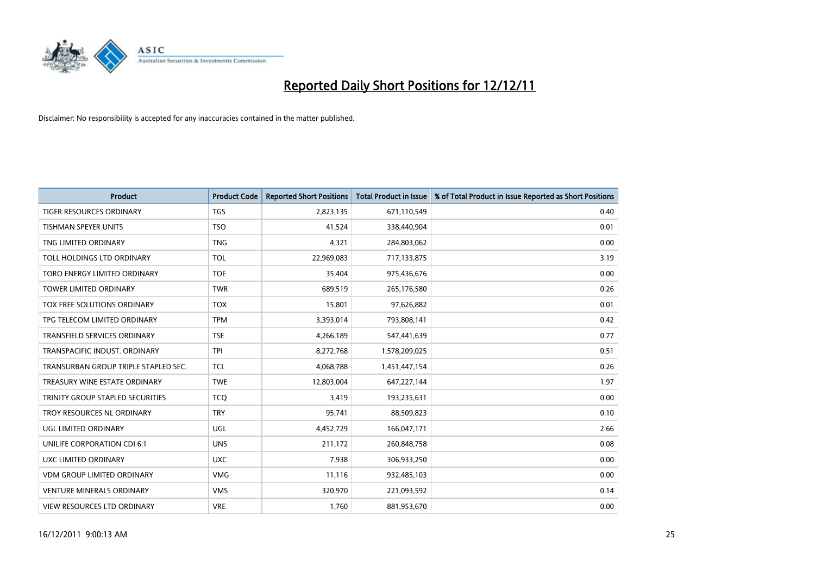

| <b>Product</b>                       | <b>Product Code</b> | <b>Reported Short Positions</b> | <b>Total Product in Issue</b> | % of Total Product in Issue Reported as Short Positions |
|--------------------------------------|---------------------|---------------------------------|-------------------------------|---------------------------------------------------------|
| <b>TIGER RESOURCES ORDINARY</b>      | <b>TGS</b>          | 2,823,135                       | 671,110,549                   | 0.40                                                    |
| TISHMAN SPEYER UNITS                 | <b>TSO</b>          | 41,524                          | 338,440,904                   | 0.01                                                    |
| TNG LIMITED ORDINARY                 | <b>TNG</b>          | 4,321                           | 284,803,062                   | 0.00                                                    |
| TOLL HOLDINGS LTD ORDINARY           | <b>TOL</b>          | 22,969,083                      | 717,133,875                   | 3.19                                                    |
| TORO ENERGY LIMITED ORDINARY         | <b>TOE</b>          | 35,404                          | 975,436,676                   | 0.00                                                    |
| <b>TOWER LIMITED ORDINARY</b>        | <b>TWR</b>          | 689,519                         | 265,176,580                   | 0.26                                                    |
| TOX FREE SOLUTIONS ORDINARY          | <b>TOX</b>          | 15,801                          | 97,626,882                    | 0.01                                                    |
| TPG TELECOM LIMITED ORDINARY         | <b>TPM</b>          | 3,393,014                       | 793,808,141                   | 0.42                                                    |
| TRANSFIELD SERVICES ORDINARY         | <b>TSE</b>          | 4,266,189                       | 547,441,639                   | 0.77                                                    |
| TRANSPACIFIC INDUST, ORDINARY        | <b>TPI</b>          | 8,272,768                       | 1,578,209,025                 | 0.51                                                    |
| TRANSURBAN GROUP TRIPLE STAPLED SEC. | <b>TCL</b>          | 4,068,788                       | 1,451,447,154                 | 0.26                                                    |
| TREASURY WINE ESTATE ORDINARY        | <b>TWE</b>          | 12,803,004                      | 647,227,144                   | 1.97                                                    |
| TRINITY GROUP STAPLED SECURITIES     | <b>TCQ</b>          | 3,419                           | 193,235,631                   | 0.00                                                    |
| TROY RESOURCES NL ORDINARY           | <b>TRY</b>          | 95,741                          | 88,509,823                    | 0.10                                                    |
| UGL LIMITED ORDINARY                 | UGL                 | 4,452,729                       | 166,047,171                   | 2.66                                                    |
| UNILIFE CORPORATION CDI 6:1          | <b>UNS</b>          | 211,172                         | 260,848,758                   | 0.08                                                    |
| UXC LIMITED ORDINARY                 | <b>UXC</b>          | 7,938                           | 306,933,250                   | 0.00                                                    |
| <b>VDM GROUP LIMITED ORDINARY</b>    | <b>VMG</b>          | 11,116                          | 932,485,103                   | 0.00                                                    |
| <b>VENTURE MINERALS ORDINARY</b>     | <b>VMS</b>          | 320,970                         | 221,093,592                   | 0.14                                                    |
| <b>VIEW RESOURCES LTD ORDINARY</b>   | <b>VRE</b>          | 1.760                           | 881,953,670                   | 0.00                                                    |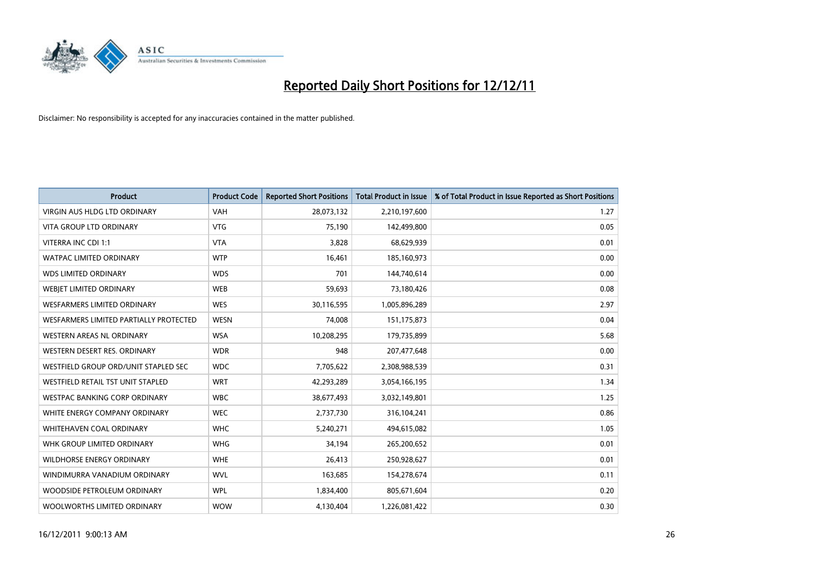

| <b>Product</b>                         | <b>Product Code</b> | <b>Reported Short Positions</b> | <b>Total Product in Issue</b> | % of Total Product in Issue Reported as Short Positions |
|----------------------------------------|---------------------|---------------------------------|-------------------------------|---------------------------------------------------------|
| <b>VIRGIN AUS HLDG LTD ORDINARY</b>    | <b>VAH</b>          | 28,073,132                      | 2,210,197,600                 | 1.27                                                    |
| <b>VITA GROUP LTD ORDINARY</b>         | <b>VTG</b>          | 75,190                          | 142,499,800                   | 0.05                                                    |
| VITERRA INC CDI 1:1                    | <b>VTA</b>          | 3,828                           | 68,629,939                    | 0.01                                                    |
| WATPAC LIMITED ORDINARY                | <b>WTP</b>          | 16,461                          | 185,160,973                   | 0.00                                                    |
| <b>WDS LIMITED ORDINARY</b>            | <b>WDS</b>          | 701                             | 144,740,614                   | 0.00                                                    |
| WEBIET LIMITED ORDINARY                | <b>WEB</b>          | 59,693                          | 73,180,426                    | 0.08                                                    |
| <b>WESFARMERS LIMITED ORDINARY</b>     | <b>WES</b>          | 30,116,595                      | 1,005,896,289                 | 2.97                                                    |
| WESFARMERS LIMITED PARTIALLY PROTECTED | <b>WESN</b>         | 74,008                          | 151, 175, 873                 | 0.04                                                    |
| <b>WESTERN AREAS NL ORDINARY</b>       | <b>WSA</b>          | 10,208,295                      | 179,735,899                   | 5.68                                                    |
| WESTERN DESERT RES. ORDINARY           | <b>WDR</b>          | 948                             | 207,477,648                   | 0.00                                                    |
| WESTFIELD GROUP ORD/UNIT STAPLED SEC   | <b>WDC</b>          | 7,705,622                       | 2,308,988,539                 | 0.31                                                    |
| WESTFIELD RETAIL TST UNIT STAPLED      | <b>WRT</b>          | 42,293,289                      | 3,054,166,195                 | 1.34                                                    |
| WESTPAC BANKING CORP ORDINARY          | <b>WBC</b>          | 38,677,493                      | 3,032,149,801                 | 1.25                                                    |
| WHITE ENERGY COMPANY ORDINARY          | <b>WEC</b>          | 2,737,730                       | 316,104,241                   | 0.86                                                    |
| <b>WHITEHAVEN COAL ORDINARY</b>        | <b>WHC</b>          | 5,240,271                       | 494,615,082                   | 1.05                                                    |
| WHK GROUP LIMITED ORDINARY             | <b>WHG</b>          | 34,194                          | 265,200,652                   | 0.01                                                    |
| WILDHORSE ENERGY ORDINARY              | <b>WHE</b>          | 26,413                          | 250,928,627                   | 0.01                                                    |
| WINDIMURRA VANADIUM ORDINARY           | <b>WVL</b>          | 163,685                         | 154,278,674                   | 0.11                                                    |
| WOODSIDE PETROLEUM ORDINARY            | <b>WPL</b>          | 1,834,400                       | 805,671,604                   | 0.20                                                    |
| WOOLWORTHS LIMITED ORDINARY            | <b>WOW</b>          | 4,130,404                       | 1,226,081,422                 | 0.30                                                    |